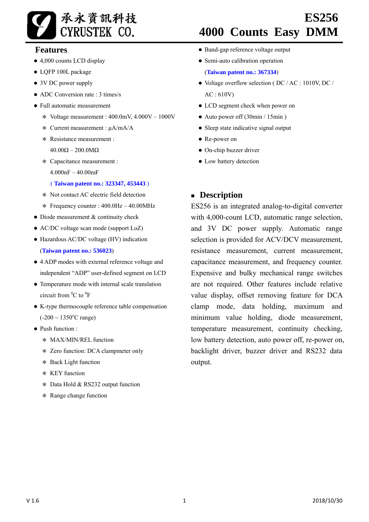

### **Features**

- 4,000 counts LCD display
- LQFP 100L package
- 3V DC power supply
- $\bullet$  ADC Conversion rate  $\cdot$  3 times/s
- Full automatic measurement
	- \* Voltage measurement : 400.0mV, 4.000V 1000V
	- \* Current measurement : μA/mA/A
	- \* Resistance measurement : 40.00Ω – 200.0MΩ
	- \* Capacitance measurement : 4.000nF – 40.00mF

#### ( **Taiwan patent no.: 323347, 453443** )

- \* Not contact AC electric field detection
- \* Frequency counter : 400.0Hz 40.00MHz
- Diode measurement & continuity check
- AC/DC voltage scan mode (support LoZ)
- Hazardous AC/DC voltage (HV) indication (**Taiwan patent no.: 536023**)
- 4 ADP modes with external reference voltage and independent "ADP" user-defined segment on LCD
- Temperature mode with internal scale translation circuit from  ${}^{0}C$  to  ${}^{0}F$
- K-type thermocouple reference table compensation  $(-200 \sim 1350$ °C range)
- Push function :
	- \* MAX/MIN/REL function
	- \* Zero function: DCA clampmeter only
	- \* Back Light function
	- \* KEY function
	- \* Data Hold & RS232 output function
	- \* Range change function

# **ES256 4000 Counts Easy DMM**

- Band-gap reference voltage output
- Semi-auto calibration operation

(**Taiwan patent no.: 367334**)

- Voltage overflow selection (DC / AC : 1010V, DC / AC : 610V)
- LCD segment check when power on
- Auto power off (30min / 15min)
- Sleep state indicative signal output
- Re-power on
- On-chip buzzer driver
- Low battery detection

### **Description**

ES256 is an integrated analog-to-digital converter with 4,000-count LCD, automatic range selection, and 3V DC power supply. Automatic range selection is provided for ACV/DCV measurement, resistance measurement, current measurement, capacitance measurement, and frequency counter. Expensive and bulky mechanical range switches are not required. Other features include relative value display, offset removing feature for DCA clamp mode, data holding, maximum and minimum value holding, diode measurement, temperature measurement, continuity checking, low battery detection, auto power off, re-power on, backlight driver, buzzer driver and RS232 data output.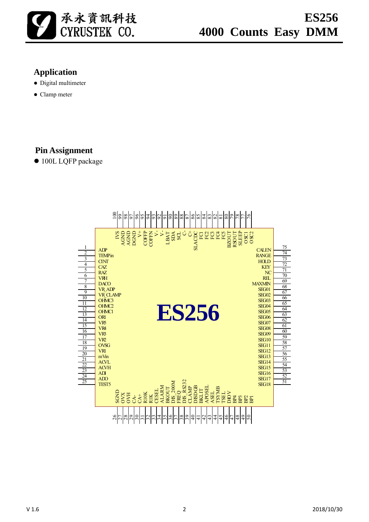

# **Application**

- Digital multimeter
- Clamp meter

# **Pin Assignment**

● 100L LQFP package

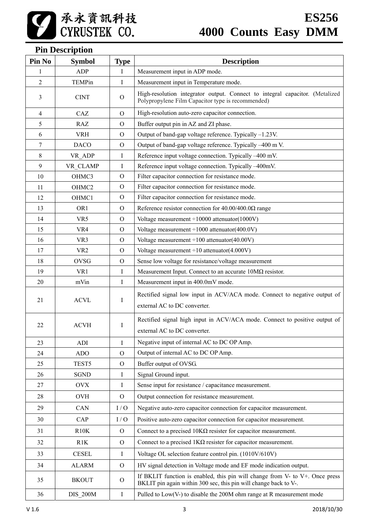# **Pin Description**

| Pin No         | <b>Symbol</b>   | <b>Type</b>  | <b>Description</b>                                                                                                                                     |  |
|----------------|-----------------|--------------|--------------------------------------------------------------------------------------------------------------------------------------------------------|--|
| 1              | <b>ADP</b>      | -1           | Measurement input in ADP mode.                                                                                                                         |  |
| $\overline{2}$ | TEMPin          | Ι            | Measurement input in Temperature mode.                                                                                                                 |  |
| 3              | <b>CINT</b>     | $\Omega$     | High-resolution integrator output. Connect to integral capacitor. (Metalized<br>Polypropylene Film Capacitor type is recommended)                      |  |
| 4              | CAZ             | $\Omega$     | High-resolution auto-zero capacitor connection.                                                                                                        |  |
| 5              | <b>RAZ</b>      | $\mathbf{O}$ | Buffer output pin in AZ and ZI phase.                                                                                                                  |  |
| 6              | <b>VRH</b>      | $\Omega$     | Output of band-gap voltage reference. Typically -1.23V.                                                                                                |  |
| 7              | <b>DACO</b>     | $\Omega$     | Output of band-gap voltage reference. Typically -400 m V.                                                                                              |  |
| 8              | VR_ADP          | I            | Reference input voltage connection. Typically -400 mV.                                                                                                 |  |
| 9              | VR CLAMP        | Ι            | Reference input voltage connection. Typically -400mV.                                                                                                  |  |
| 10             | OHMC3           | $\Omega$     | Filter capacitor connection for resistance mode.                                                                                                       |  |
| 11             | OHMC2           | $\Omega$     | Filter capacitor connection for resistance mode.                                                                                                       |  |
| 12             | OHMC1           | O            | Filter capacitor connection for resistance mode.                                                                                                       |  |
| 13             | OR <sub>1</sub> | $\Omega$     | Reference resistor connection for $40.00/400.0\Omega$ range                                                                                            |  |
| 14             | VR5             | $\Omega$     | Voltage measurement $\div 10000$ attenuator(1000V)                                                                                                     |  |
| 15             | VR4             | $\Omega$     | Voltage measurement $\div 1000$ attenuator(400.0V)                                                                                                     |  |
| 16             | VR <sub>3</sub> | $\Omega$     | Voltage measurement $\div 100$ attenuator(40.00V)                                                                                                      |  |
| 17             | VR <sub>2</sub> | $\Omega$     | Voltage measurement $\div 10$ attenuator(4.000V)                                                                                                       |  |
| 18             | <b>OVSG</b>     | $\Omega$     | Sense low voltage for resistance/voltage measurement                                                                                                   |  |
| 19             | VR1             | I            | Measurement Input. Connect to an accurate $10M\Omega$ resistor.                                                                                        |  |
| 20             | mVin            | I            | Measurement input in 400.0mV mode.                                                                                                                     |  |
|                |                 |              | Rectified signal low input in ACV/ACA mode. Connect to negative output of                                                                              |  |
| 21             | <b>ACVL</b>     | I            | external AC to DC converter.                                                                                                                           |  |
| 22             | <b>ACVH</b>     | I            | Rectified signal high input in ACV/ACA mode. Connect to positive output of                                                                             |  |
|                |                 |              | external AC to DC converter.                                                                                                                           |  |
| 23             | ADI             | I            | Negative input of internal AC to DC OP Amp.                                                                                                            |  |
| 24             | ADO             | $\Omega$     | Output of internal AC to DC OP Amp.                                                                                                                    |  |
| 25             | TEST5           | $\mathbf{O}$ | Buffer output of OVSG.                                                                                                                                 |  |
| 26             | <b>SGND</b>     | $\bf{I}$     | Signal Ground input.                                                                                                                                   |  |
| 27             | <b>OVX</b>      | $\bf{I}$     | Sense input for resistance / capacitance measurement.                                                                                                  |  |
| $28\,$         | <b>OVH</b>      | $\mathbf{O}$ | Output connection for resistance measurement.                                                                                                          |  |
| 29             | CAN             | I/O          | Negative auto-zero capacitor connection for capacitor measurement.                                                                                     |  |
| 30             | CAP             | I/O          | Positive auto-zero capacitor connection for capacitor measurement.                                                                                     |  |
| 31             | R10K            | $\Omega$     | Connect to a precised $10K\Omega$ resister for capacitor measurement.                                                                                  |  |
| 32             | R1K             | $\Omega$     | Connect to a precised $1K\Omega$ resister for capacitor measurement.                                                                                   |  |
| 33             | <b>CESEL</b>    | $\bf{I}$     | Voltage OL selection feature control pin. (1010V/610V)                                                                                                 |  |
| 34             | <b>ALARM</b>    | $\mathbf{O}$ | HV signal detection in Voltage mode and EF mode indication output.                                                                                     |  |
| 35             | <b>BKOUT</b>    | $\Omega$     | If BKLIT function is enabled, this pin will change from $V$ - to $V$ +. Once press<br>BKLIT pin again within 300 sec, this pin will change back to V-. |  |
| 36             | <b>DIS_200M</b> | $\bf{I}$     | Pulled to $Low(V-)$ to disable the $200M$ ohm range at R measurement mode                                                                              |  |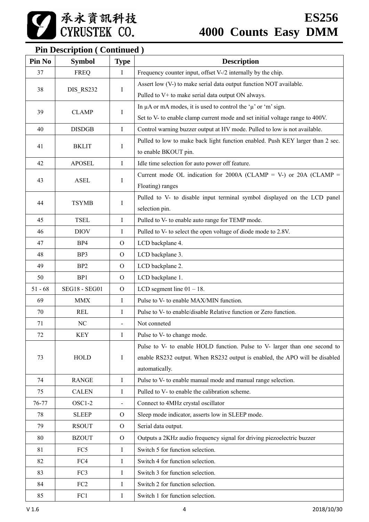| 承永資訊科技<br>| CYRUSTEK CO.

# **Pin Description ( Continued )**

| Pin No    | <b>Symbol</b>        | <b>Type</b>    | <b>Description</b>                                                             |  |
|-----------|----------------------|----------------|--------------------------------------------------------------------------------|--|
| 37        | <b>FREQ</b>          | $\mathbf I$    | Frequency counter input, offset V-/2 internally by the chip.                   |  |
|           |                      |                | Assert low (V-) to make serial data output function NOT available.             |  |
| 38        | DIS_RS232<br>Ι.      |                | Pulled to V+ to make serial data output ON always.                             |  |
|           |                      |                | In $\mu$ A or mA modes, it is used to control the ' $\mu$ ' or 'm' sign.       |  |
| 39        | <b>CLAMP</b>         | Ι              | Set to V- to enable clamp current mode and set initial voltage range to 400V.  |  |
| 40        | <b>DISDGB</b>        | $\mathbf I$    | Control warning buzzer output at HV mode. Pulled to low is not available.      |  |
|           |                      |                | Pulled to low to make back light function enabled. Push KEY larger than 2 sec. |  |
| 41        | <b>BKLIT</b>         | Ι              | to enable BKOUT pin.                                                           |  |
| 42        | <b>APOSEL</b>        | Ι              | Idle time selection for auto power off feature.                                |  |
|           |                      |                | Current mode OL indication for 2000A (CLAMP = V-) or 20A (CLAMP =              |  |
| 43        | <b>ASEL</b>          | $\bf{I}$       | Floating) ranges                                                               |  |
| 44        | <b>TSYMB</b>         |                | Pulled to V- to disable input terminal symbol displayed on the LCD panel       |  |
|           |                      | $\bf{I}$       | selection pin.                                                                 |  |
| 45        | <b>TSEL</b>          | $\mathbf I$    | Pulled to V- to enable auto range for TEMP mode.                               |  |
| 46        | <b>DIOV</b>          | $\bf{I}$       | Pulled to V- to select the open voltage of diode mode to 2.8V.                 |  |
| 47        | BP4                  | $\mathbf{O}$   | LCD backplane 4.                                                               |  |
| 48        | BP3                  | $\mathcal{O}$  | LCD backplane 3.                                                               |  |
| 49        | BP <sub>2</sub>      | $\overline{O}$ | LCD backplane 2.                                                               |  |
| 50        | BP1                  | $\overline{O}$ | LCD backplane 1.                                                               |  |
| $51 - 68$ | <b>SEG18 - SEG01</b> | $\Omega$       | LCD segment line $01 - 18$ .                                                   |  |
| 69        | <b>MMX</b>           | $\bf{I}$       | Pulse to V- to enable MAX/MIN function.                                        |  |
| 70        | <b>REL</b>           | Ι              | Pulse to V- to enable/disable Relative function or Zero function.              |  |
| 71        | NC                   |                | Not conneted                                                                   |  |
| 72        | <b>KEY</b>           | I              | Pulse to V- to change mode.                                                    |  |
|           |                      |                | Pulse to V- to enable HOLD function. Pulse to V- larger than one second to     |  |
| 73        | <b>HOLD</b>          | $\bf{I}$       | enable RS232 output. When RS232 output is enabled, the APO will be disabled    |  |
|           |                      |                | automatically.                                                                 |  |
| 74        | <b>RANGE</b>         | $\bf{I}$       | Pulse to V- to enable manual mode and manual range selection.                  |  |
| 75        | <b>CALEN</b>         | $\bf{I}$       | Pulled to V- to enable the calibration scheme.                                 |  |
| 76-77     | OSC1-2               | $\blacksquare$ | Connect to 4MHz crystal oscillator                                             |  |
| 78        | <b>SLEEP</b>         | $\Omega$       | Sleep mode indicator, asserts low in SLEEP mode.                               |  |
| 79        | <b>RSOUT</b>         | $\Omega$       | Serial data output.                                                            |  |
| 80        | <b>BZOUT</b>         | $\Omega$       | Outputs a 2KHz audio frequency signal for driving piezoelectric buzzer         |  |
| 81        | FC5                  | Ι              | Switch 5 for function selection.                                               |  |
| 82        | FC4                  | $\mathbf I$    | Switch 4 for function selection.                                               |  |
| 83        | FC3                  | Ι              | Switch 3 for function selection.                                               |  |
| 84        | FC <sub>2</sub>      | I              | Switch 2 for function selection.                                               |  |
| 85        | FC1                  | $\bf{I}$       | Switch 1 for function selection.                                               |  |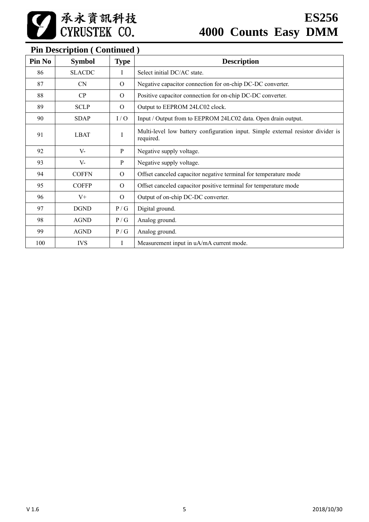# **Pin Description ( Continued )**

| Pin No | <b>Symbol</b> | <b>Type</b> | <b>Description</b>                                                                            |
|--------|---------------|-------------|-----------------------------------------------------------------------------------------------|
| 86     | <b>SLACDC</b> | I           | Select initial DC/AC state.                                                                   |
| 87     | <b>CN</b>     | $\Omega$    | Negative capacitor connection for on-chip DC-DC converter.                                    |
| 88     | CP            | $\Omega$    | Positive capacitor connection for on-chip DC-DC converter.                                    |
| 89     | <b>SCLP</b>   | $\Omega$    | Output to EEPROM 24LC02 clock.                                                                |
| 90     | <b>SDAP</b>   | I/O         | Input / Output from to EEPROM 24LC02 data. Open drain output.                                 |
| 91     | <b>LBAT</b>   | $\mathbf I$ | Multi-level low battery configuration input. Simple external resistor divider is<br>required. |
| 92     | $V -$         | P           | Negative supply voltage.                                                                      |
| 93     | V-            | P           | Negative supply voltage.                                                                      |
| 94     | <b>COFFN</b>  | $\Omega$    | Offset canceled capacitor negative terminal for temperature mode                              |
| 95     | <b>COFFP</b>  | $\Omega$    | Offset canceled capacitor positive terminal for temperature mode                              |
| 96     | $V^+$         | $\Omega$    | Output of on-chip DC-DC converter.                                                            |
| 97     | <b>DGND</b>   | P/G         | Digital ground.                                                                               |
| 98     | <b>AGND</b>   | P/G         | Analog ground.                                                                                |
| 99     | <b>AGND</b>   | P/G         | Analog ground.                                                                                |
| 100    | <b>IVS</b>    | $\perp$     | Measurement input in uA/mA current mode.                                                      |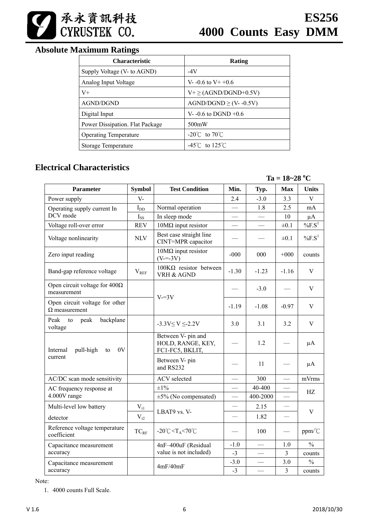

### **Absolute Maximum Ratings**

| <b>Characteristic</b>           | Rating                              |
|---------------------------------|-------------------------------------|
| Supply Voltage (V- to AGND)     | -4V                                 |
| Analog Input Voltage            | V- $-0.6$ to V+ $+0.6$              |
| $V_{+}$                         | $V^+ \geq (AGND/DGND+0.5V)$         |
| AGND/DGND                       | $AGND/DGND \ge (V-0.5V)$            |
| Digital Input                   | V--0.6 to DGND $+0.6$               |
| Power Dissipation. Flat Package | 500mW                               |
| <b>Operating Temperature</b>    | -20 $\degree$ C to 70 $\degree$ C   |
| Storage Temperature             | $-45^{\circ}$ C to 125 $^{\circ}$ C |

### **Electrical Characteristics**

 $Ta = 18 - 28 °C$ 

| Parameter                                              | <b>Symbol</b> | <b>Test Condition</b>                                        | Min.                     | Typ.     | <b>Max</b>               | <b>Units</b>          |
|--------------------------------------------------------|---------------|--------------------------------------------------------------|--------------------------|----------|--------------------------|-----------------------|
| Power supply                                           | $V -$         |                                                              | 2.4                      | $-3.0$   | 3.3                      | V                     |
| Operating supply current In                            | $I_{DD}$      | Normal operation                                             | $\overline{\phantom{0}}$ | 1.8      | 2.5                      | mA                    |
| DCV mode                                               | $I_{SS}$      | In sleep mode                                                |                          |          | 10                       | $\mu A$               |
| Voltage roll-over error                                | <b>REV</b>    | $10M\Omega$ input resistor                                   |                          |          | $\pm 0.1$                | $%F.S^1$              |
| Voltage nonlinearity                                   | <b>NLV</b>    | Best case straight line<br>CINT=MPR capacitor                |                          |          | $\pm 0.1$                | $\%$ F.S <sup>1</sup> |
| Zero input reading                                     |               | $10M\Omega$ input resistor<br>$(V=-3V)$                      | $-000$                   | 000      | $+000$                   | counts                |
| Band-gap reference voltage                             | $\rm V_{REF}$ | $100K\Omega$ resistor between<br>VRH & AGND                  | $-1.30$                  | $-1.23$  | $-1.16$                  | V                     |
| Open circuit voltage for $400\Omega$<br>measurement    |               | $V=3V$                                                       |                          | $-3.0$   |                          | V                     |
| Open circuit voltage for other<br>$\Omega$ measurement |               |                                                              | $-1.19$                  | $-1.08$  | $-0.97$                  | V                     |
| Peak<br>peak<br>backplane<br>to<br>voltage             |               | $-3.3V \le V \le 2.2V$                                       | 3.0                      | 3.1      | 3.2                      | $\mathbf V$           |
| Internal<br>pull-high<br>0V<br>to                      |               | Between V- pin and<br>HOLD, RANGE, KEY,<br>FC1-FC5, BKLIT,   |                          | 1.2      |                          | $\mu A$               |
| current                                                |               | Between V- pin<br>and RS232                                  |                          | 11       |                          | $\mu A$               |
| AC/DC scan mode sensitivity                            |               | <b>ACV</b> selected                                          |                          | 300      |                          | mVrms                 |
| AC frequency response at                               |               | $\pm 1\%$                                                    | $\overline{\phantom{a}}$ | 40-400   |                          | HZ                    |
| 4.000V range                                           |               | $\pm 5\%$ (No compensated)                                   | $\overline{\phantom{0}}$ | 400-2000 | $\overline{\phantom{0}}$ |                       |
| Multi-level low battery                                | $\rm V_{t1}$  |                                                              |                          | 2.15     |                          |                       |
| detector                                               | $V_{t2}$      | LBAT9 vs. V-                                                 |                          | 1.82     | $\hspace{0.05cm}$        | V                     |
| Reference voltage temperature<br>coefficient           | $TC_{RF}$     | $-20^{\circ}$ C <t<sub>A&lt;70<math>^{\circ}</math>C</t<sub> |                          | 100      |                          | ppm/°C                |
| Capacitance measurement                                |               | 4nF-400uF (Residual                                          | $-1.0$                   |          | 1.0                      | $\frac{0}{0}$         |
| accuracy                                               |               | value is not included)                                       | $-3$                     |          | 3                        | counts                |
| Capacitance measurement                                |               | 4mF/40mF                                                     | $-3.0$                   |          | 3.0                      | $\frac{0}{0}$         |
| accuracy                                               |               |                                                              |                          |          | 3                        | counts                |

Note:

1. 4000 counts Full Scale.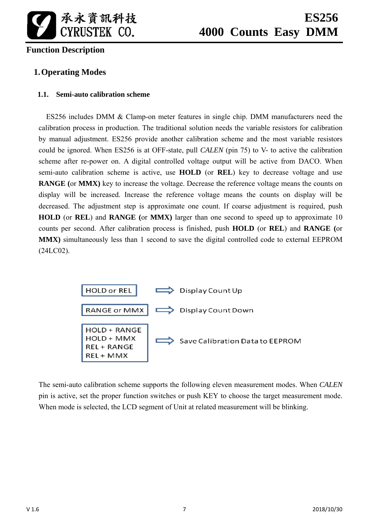

# **ES256 4000 Counts Easy DMM**

### **Function Description**

### **1.Operating Modes**

### **1.1. Semi-auto calibration scheme**

ES256 includes DMM & Clamp-on meter features in single chip. DMM manufacturers need the calibration process in production. The traditional solution needs the variable resistors for calibration by manual adjustment. ES256 provide another calibration scheme and the most variable resistors could be ignored. When ES256 is at OFF-state, pull *CALEN* (pin 75) to V- to active the calibration scheme after re-power on. A digital controlled voltage output will be active from DACO. When semi-auto calibration scheme is active, use **HOLD** (or **REL**) key to decrease voltage and use **RANGE (**or **MMX)** key to increase the voltage. Decrease the reference voltage means the counts on display will be increased. Increase the reference voltage means the counts on display will be decreased. The adjustment step is approximate one count. If coarse adjustment is required, push **HOLD** (or **REL**) and **RANGE (**or **MMX)** larger than one second to speed up to approximate 10 counts per second. After calibration process is finished, push **HOLD** (or **REL**) and **RANGE (**or **MMX)** simultaneously less than 1 second to save the digital controlled code to external EEPROM (24LC02).



The semi-auto calibration scheme supports the following eleven measurement modes. When *CALEN* pin is active, set the proper function switches or push KEY to choose the target measurement mode. When mode is selected, the LCD segment of Unit at related measurement will be blinking.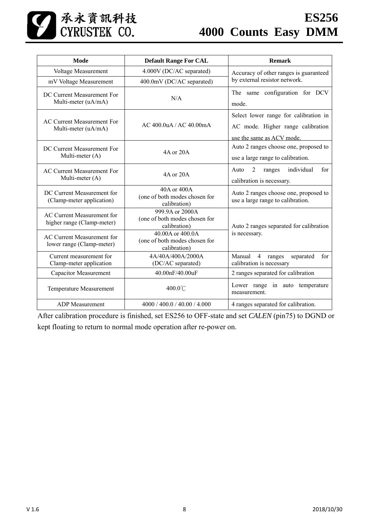

| Mode                                                            | <b>Default Range For CAL</b>                                      | <b>Remark</b>                                                                                           |  |
|-----------------------------------------------------------------|-------------------------------------------------------------------|---------------------------------------------------------------------------------------------------------|--|
| Voltage Measurement                                             | 4.000V (DC/AC separated)                                          | Accuracy of other ranges is guaranteed                                                                  |  |
| mV Voltage Measurement                                          | 400.0mV (DC/AC separated)                                         | by external resistor network.                                                                           |  |
| DC Current Measurement For<br>Multi-meter (uA/mA)               | N/A                                                               | The same configuration for DCV<br>mode.                                                                 |  |
| <b>AC Current Measurement For</b><br>Multi-meter (uA/mA)        | AC 400.0uA / AC 40.00mA                                           | Select lower range for calibration in<br>AC mode. Higher range calibration<br>use the same as ACV mode. |  |
| DC Current Measurement For<br>Multi-meter (A)                   | 4A or 20A                                                         | Auto 2 ranges choose one, proposed to<br>use a large range to calibration.                              |  |
| AC Current Measurement For<br>Multi-meter (A)                   | 4A or 20A                                                         | individual<br>$\overline{2}$<br>Auto<br>ranges<br>for<br>calibration is necessary.                      |  |
| DC Current Measurement for<br>(Clamp-meter application)         | 40A or 400A<br>(one of both modes chosen for<br>calibration)      | Auto 2 ranges choose one, proposed to<br>use a large range to calibration.                              |  |
| <b>AC Current Measurement for</b><br>higher range (Clamp-meter) | 999.9A or 2000A<br>(one of both modes chosen for<br>calibration)  | Auto 2 ranges separated for calibration                                                                 |  |
| AC Current Measurement for<br>lower range (Clamp-meter)         | 40.00A or 400.0A<br>(one of both modes chosen for<br>calibration) | is necessary.                                                                                           |  |
| Current measurement for<br>Clamp-meter application              | 4A/40A/400A/2000A<br>(DC/AC separated)                            | Manual<br>$\overline{4}$<br>for<br>ranges<br>separated<br>calibration is necessary                      |  |
| <b>Capacitor Measurement</b>                                    | 40.00nF/40.00uF                                                   | 2 ranges separated for calibration                                                                      |  |
| Temperature Measurement                                         | 400.0°C                                                           | Lower range in auto temperature<br>measurement.                                                         |  |
| <b>ADP</b> Measurement                                          | 4000 / 400.0 / 40.00 / 4.000                                      | 4 ranges separated for calibration.                                                                     |  |

After calibration procedure is finished, set ES256 to OFF-state and set *CALEN* (pin75) to DGND or kept floating to return to normal mode operation after re-power on.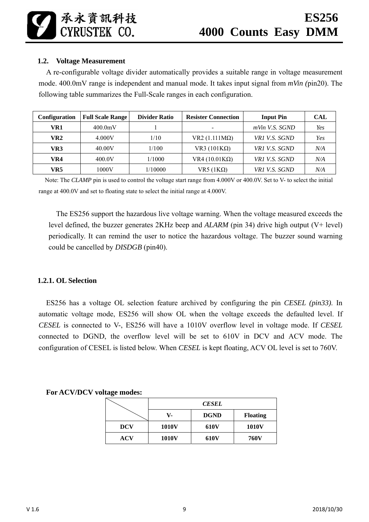### **1.2. Voltage Measurement**

A re-configurable voltage divider automatically provides a suitable range in voltage measurement mode. 400.0mV range is independent and manual mode. It takes input signal from *mVin (*pin20). The following table summarizes the Full-Scale ranges in each configuration.

| <b>Configuration</b> | <b>Full Scale Range</b> | <b>Divider Ratio</b> | <b>Resister Connection</b> | <b>Input Pin</b>  | <b>CAL</b> |
|----------------------|-------------------------|----------------------|----------------------------|-------------------|------------|
| VR1                  | 400.0mV                 |                      | $\blacksquare$             | $mV$ in V.S. SGND | Yes        |
| VR2                  | 4.000V                  | 1/10                 | $VR2 (1.111 M\Omega)$      | VR1 V.S. SGND     | Yes        |
| VR3                  | 40.00V                  | 1/100                | VR3 $(101K\Omega)$         | VR1 V.S. SGND     | N/A        |
| VR4                  | 400.0V                  | 1/1000               | VR4 $(10.01K\Omega)$       | VR1 V.S. SGND     | N/A        |
| VR5                  | $1000\mathrm{V}$        | 1/10000              | VR5 $(1K\Omega)$           | VR1 V.S. SGND     | N/A        |

Note: The *CLAMP* pin is used to control the voltage start range from 4.000V or 400.0V. Set to V- to select the initial range at 400.0V and set to floating state to select the initial range at 4.000V.

The ES256 support the hazardous live voltage warning. When the voltage measured exceeds the level defined, the buzzer generates 2KHz beep and *ALARM* (pin 34) drive high output (V+ level) periodically. It can remind the user to notice the hazardous voltage. The buzzer sound warning could be cancelled by *DISDGB* (pin40).

### **1.2.1. OL Selection**

ES256 has a voltage OL selection feature archived by configuring the pin *CESEL (pin33)*. In automatic voltage mode, ES256 will show OL when the voltage exceeds the defaulted level. If *CESEL* is connected to V-, ES256 will have a 1010V overflow level in voltage mode. If *CESEL* connected to DGND, the overflow level will be set to 610V in DCV and ACV mode. The configuration of CESEL is listed below. When *CESEL* is kept floating, ACV OL level is set to 760V.

#### **For ACV/DCV voltage modes:**

|            |       | <b>CESEL</b> |                 |
|------------|-------|--------------|-----------------|
|            | V-    | <b>DGND</b>  | <b>Floating</b> |
| <b>DCV</b> | 1010V | <b>610V</b>  | <b>1010V</b>    |
| ACV        | 1010V | <b>610V</b>  | <b>760V</b>     |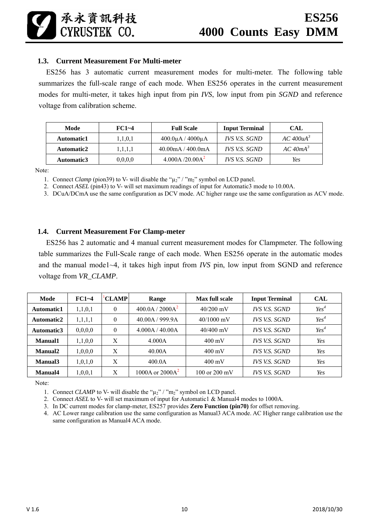### **1.3. Current Measurement For Multi-meter**

承永資訊科技

CYRUSTEK CO.

ES256 has 3 automatic current measurement modes for multi-meter. The following table summarizes the full-scale range of each mode. When ES256 operates in the current measurement modes for multi-meter, it takes high input from pin *IVS*, low input from pin *SGND* and reference voltage from calibration scheme.

| Mode       | $FC1 - 4$  | <b>Full Scale</b>                   | <b>Input Terminal</b> | CAL                |
|------------|------------|-------------------------------------|-----------------------|--------------------|
| Automatic1 | 1, 1, 0, 1 | $400.0\mu$ A / $4000\mu$ A          | IVS V.S. SGND         | $AC$ 400 $\mu A^3$ |
| Automatic2 | 1,1,1,1    | $40.00 \text{mA} / 400.0 \text{mA}$ | <b>IVS V.S. SGND</b>  | $AC$ 40m $A^3$     |
| Automatic3 | 0,0,0,0    | 4.000A/20.00A <sup>2</sup>          | IVS V.S. SGND         | Yes                |

Note:

1. Connect *Clamp* (pion39) to V- will disable the " $\mu_2$ " / "m<sub>2</sub>" symbol on LCD panel.

2. Connect *ASEL* (pin43) to V- will set maximum readings of input for Automatic3 mode to 10.00A.

3. DCuA/DCmA use the same configuration as DCV mode. AC higher range use the same configuration as ACV mode.

#### **1.4. Current Measurement For Clamp-meter**

ES256 has 2 automatic and 4 manual current measurement modes for Clampmeter. The following table summarizes the Full-Scale range of each mode. When ES256 operate in the automatic modes and the manual mode1~4, it takes high input from *IVS* pin, low input from SGND and reference voltage from *VR\_CLAMP*.

| Mode       | $FC1 - 4$ | <b>CLAMP</b>     | Range                       | <b>Max full scale</b>   | <b>Input Terminal</b> | <b>CAL</b> |
|------------|-----------|------------------|-----------------------------|-------------------------|-----------------------|------------|
| Automatic1 | 1,1,0,1   | $\boldsymbol{0}$ | 400.0A / 2000A <sup>2</sup> | $40/200$ mV             | IVS V.S. SGND         | $Yes^4$    |
| Automatic2 | 1,1,1,1   | $\theta$         | 40.00A / 999.9A             | $40/1000$ mV            | <b>IVS V.S. SGND</b>  | $Yes^4$    |
| Automatic3 | 0,0,0,0   | $\theta$         | 4.000A / 40.00A             | $40/400$ mV             | IVS V.S. SGND         | $Yes^4$    |
| Manual1    | 1,1,0,0   | X                | 4.000A                      | $400 \text{ mV}$        | <b>IVS V.S. SGND</b>  | Yes        |
| Manual2    | 1,0,0,0   | X                | 40.00A                      | $400 \text{ mV}$        | <b>IVS V.S. SGND</b>  | Yes        |
| Manual3    | 1,0,1,0   | X                | 400.0A                      | $400 \text{ mV}$        | <b>IVS V.S. SGND</b>  | Yes        |
| Manual4    | 1,0,0,1   | X                | 1000A or $2000A2$           | 100 or $200 \text{ mV}$ | IVS V.S. SGND         | Yes        |

Note:

1. Connect *CLAMP* to V- will disable the " $\mu_2$ " / "m<sub>2</sub>" symbol on LCD panel.

2. Connect *ASEL* to V- will set maximum of input for Automatic1 & Manual4 modes to 1000A.

3. In DC current modes for clamp-meter, ES257 provides **Zero Function (pin70)** for offset removing.

4. AC Lower range calibration use the same configuration as Manual3 ACA mode. AC Higher range calibration use the same configuration as Manual4 ACA mode.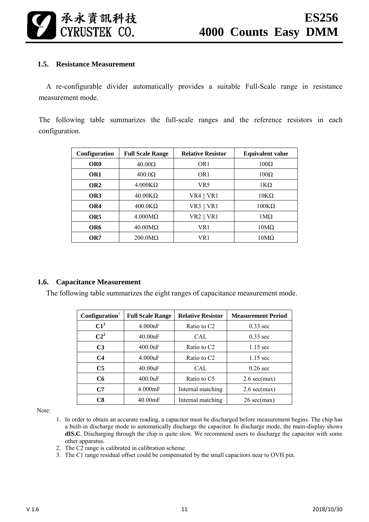

#### **1.5. Resistance Measurement**

A re-configurable divider automatically provides a suitable Full-Scale range in resistance measurement mode.

The following table summarizes the full-scale ranges and the reference resistors in each configuration.

| Configuration   | <b>Full Scale Range</b> | <b>Relative Resistor</b> | <b>Equivalent value</b> |
|-----------------|-------------------------|--------------------------|-------------------------|
| OR <sub>0</sub> | $40.00\Omega$           | OR <sub>1</sub>          | $100\Omega$             |
| OR <sub>1</sub> | $400.0\Omega$           | OR <sub>1</sub>          | $100\Omega$             |
| OR <sub>2</sub> | $4.000K\Omega$          | VR <sub>5</sub>          | $1K\Omega$              |
| OR3             | $40.00K\Omega$          | <b>VR4    VR1</b>        | $10K\Omega$             |
| OR4             | $400.0K\Omega$          | $VR3 \parallel VR1$      | $100K\Omega$            |
| OR <sub>5</sub> | $4.000 \text{M}\Omega$  | <b>VR2    VR1</b>        | $1\text{M}\Omega$       |
| OR6             | $40.00 \text{M}\Omega$  | VR1                      | $10M\Omega$             |
| OR7             | $200.0 \text{M}\Omega$  | VR 1                     | $10M\Omega$             |

#### **1.6. Capacitance Measurement**

The following table summarizes the eight ranges of capacitance measurement mode.

| $\mathbf{Configuration}^1$ | <b>Full Scale Range</b> | <b>Relative Resistor</b> | <b>Measurement Period</b>     |
|----------------------------|-------------------------|--------------------------|-------------------------------|
| $C1^3$                     | 4.000nF                 | Ratio to C <sub>2</sub>  | $0.33$ sec                    |
| $C2^2$                     | 40.00nF                 | CAL.                     | $0.33$ sec                    |
| C <sub>3</sub>             | 400.0nF                 | Ratio to C <sub>2</sub>  | $1.15$ sec                    |
| C <sub>4</sub>             | 4.000uF                 | Ratio to C <sub>2</sub>  | $1.15 \text{ sec}$            |
| C <sub>5</sub>             | 40.00uF                 | CAL.                     | $0.26$ sec                    |
| C6                         | $400.0$ uF              | Ratio to C5              | $2.6 \text{ sec}(\text{max})$ |
| C7                         | $4.000$ mF              | Internal matching        | $2.6 \text{ sec}(\text{max})$ |
| C8                         | $40.00$ mF              | Internal matching        | $26 \text{ sec}(\text{max})$  |

Note:

- 1. In order to obtain an accurate reading, a capacitor must be discharged before measurement begins. The chip has a built-in discharge mode to automatically discharge the capacitor. In discharge mode, the main-display shows **dIS.C**. Discharging through the chip is quite slow. We recommend users to discharge the capacitor with some other apparatus.
- 2. The C2 range is calibrated in calibration scheme.
- 3. The C1 range residual offset could be compensated by the small capacitors near to OVH pin.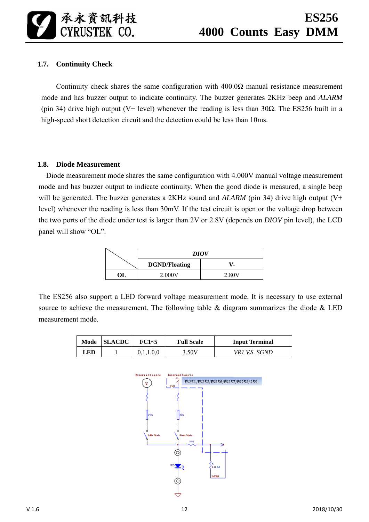### **1.7. Continuity Check**

Continuity check shares the same configuration with  $400.0\Omega$  manual resistance measurement mode and has buzzer output to indicate continuity. The buzzer generates 2KHz beep and *ALARM* (pin 34) drive high output (V+ level) whenever the reading is less than 30 $\Omega$ . The ES256 built in a high-speed short detection circuit and the detection could be less than 10ms.

#### **1.8. Diode Measurement**

Diode measurement mode shares the same configuration with 4.000V manual voltage measurement mode and has buzzer output to indicate continuity. When the good diode is measured, a single beep will be generated. The buzzer generates a 2KHz sound and *ALARM* (pin 34) drive high output (V+ level) whenever the reading is less than 30mV. If the test circuit is open or the voltage drop between the two ports of the diode under test is larger than 2V or 2.8V (depends on *DIOV* pin level), the LCD panel will show "OL".

|    | <b>DIOV</b>          |       |  |  |  |
|----|----------------------|-------|--|--|--|
|    | <b>DGND/Floating</b> |       |  |  |  |
| ОL | 2.000V               | 2.80V |  |  |  |

The ES256 also support a LED forward voltage measurement mode. It is necessary to use external source to achieve the measurement. The following table  $\&$  diagram summarizes the diode  $\&$  LED measurement mode.

| Mode | <b>SLACDC</b> | FC1~5 | <b>Full Scale</b> | <b>Input Terminal</b> |
|------|---------------|-------|-------------------|-----------------------|
| LED. |               |       | 3.50V             | VR1 V.S. SGND         |

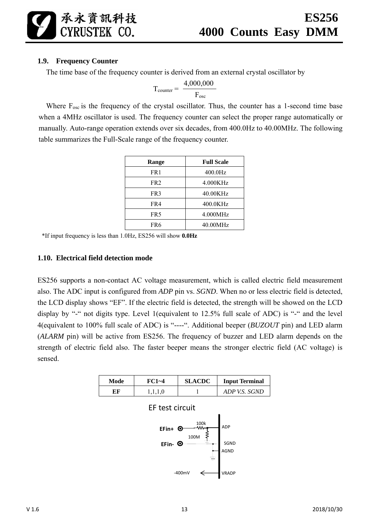### **1.9. Frequency Counter**

承永資訊科技<br>CYRUSTEK CO.

The time base of the frequency counter is derived from an external crystal oscillator by

$$
T_{counter} = \frac{4,000,000}{F_{osc}}
$$

Where  $F_{osc}$  is the frequency of the crystal oscillator. Thus, the counter has a 1-second time base when a 4MHz oscillator is used. The frequency counter can select the proper range automatically or manually. Auto-range operation extends over six decades, from 400.0Hz to 40.00MHz. The following table summarizes the Full-Scale range of the frequency counter.

| Range           | <b>Full Scale</b> |
|-----------------|-------------------|
| FR1             | 400.0Hz           |
| FR <sub>2</sub> | 4.000KHz          |
| FR3             | 40.00KHz          |
| FR4             | 400.0KHz          |
| FR <sub>5</sub> | 4.000MHz          |
| FR6             | 40.00MHz          |

\*If input frequency is less than 1.0Hz, ES256 will show **0.0Hz**

#### **1.10. Electrical field detection mode**

ES256 supports a non-contact AC voltage measurement, which is called electric field measurement also. The ADC input is configured from *ADP* pin vs. *SGND*. When no or less electric field is detected, the LCD display shows "EF". If the electric field is detected, the strength will be showed on the LCD display by "-" not digits type. Level 1(equivalent to 12.5% full scale of ADC) is "-" and the level 4(equivalent to 100% full scale of ADC) is "----". Additional beeper (*BUZOUT* pin) and LED alarm (*ALARM* pin) will be active from ES256. The frequency of buzzer and LED alarm depends on the strength of electric field also. The faster beeper means the stronger electric field (AC voltage) is sensed.

| Mode | $FC1 - 4$ | <b>SLACDC</b> | <b>Input Terminal</b> |  |
|------|-----------|---------------|-----------------------|--|
| EF   |           |               | ADP V.S. SGND         |  |



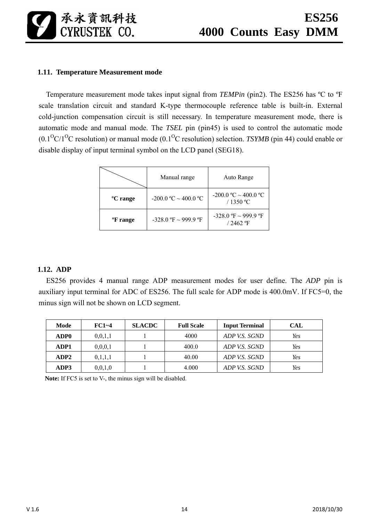

### **1.11. Temperature Measurement mode**

Temperature measurement mode takes input signal from *TEMPin* (pin2). The ES256 has ºC to ºF scale translation circuit and standard K-type thermocouple reference table is built-in. External cold-junction compensation circuit is still necessary. In temperature measurement mode, there is automatic mode and manual mode. The *TSEL* pin (pin45) is used to control the automatic mode  $(0.1^{O}C)^{O}C$  resolution) or manual mode  $(0.1^{O}C$  resolution) selection. *TSYMB* (pin 44) could enable or disable display of input terminal symbol on the LCD panel (SEG18).

|                      | Manual range           | Auto Range                               |
|----------------------|------------------------|------------------------------------------|
| <sup>o</sup> C range | -200.0 °C ~ 400.0 °C   | $-200.0$ °C $\sim$ 400.0 °C<br>/ 1350 °C |
| <sup>o</sup> F range | $-328.0$ °F ~ 999.9 °F | $-328.0$ °F ~ 999.9 °F<br>$/2462$ °F     |

#### **1.12. ADP**

ES256 provides 4 manual range ADP measurement modes for user define. The *ADP* pin is auxiliary input terminal for ADC of ES256. The full scale for ADP mode is 400.0mV. If FC5=0, the minus sign will not be shown on LCD segment.

| Mode             | $FC1 - 4$  | <b>SLACDC</b> | <b>Full Scale</b> | <b>Input Terminal</b> | CAL |
|------------------|------------|---------------|-------------------|-----------------------|-----|
| ADP <sub>0</sub> | 0,0,1,1    |               | 4000              | ADP V.S. SGND         | Yes |
| ADP1             | 0, 0, 0, 1 |               | 400.0             | ADP V.S. SGND         | Yes |
| ADP2             | 0,1,1,1    |               | 40.00             | ADP V.S. SGND         | Yes |
| ADP3             | 0,0,1,0    |               | 4.000             | ADP V.S. SGND         | Yes |

Note: If FC5 is set to V-, the minus sign will be disabled.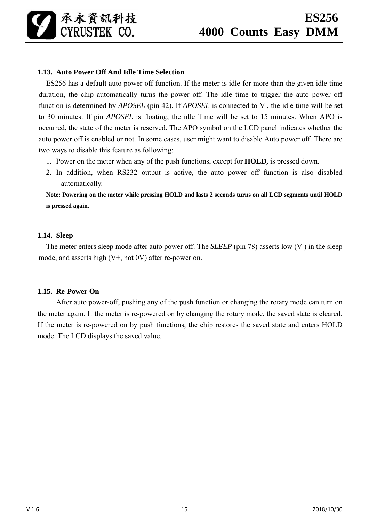### **1.13. Auto Power Off And Idle Time Selection**

ES256 has a default auto power off function. If the meter is idle for more than the given idle time duration, the chip automatically turns the power off. The idle time to trigger the auto power off function is determined by *APOSEL* (pin 42). If *APOSEL* is connected to V-, the idle time will be set to 30 minutes. If pin *APOSEL* is floating, the idle Time will be set to 15 minutes. When APO is occurred, the state of the meter is reserved. The APO symbol on the LCD panel indicates whether the auto power off is enabled or not. In some cases, user might want to disable Auto power off. There are two ways to disable this feature as following:

- 1. Power on the meter when any of the push functions, except for **HOLD,** is pressed down.
- 2. In addition, when RS232 output is active, the auto power off function is also disabled automatically.

**Note: Powering on the meter while pressing HOLD and lasts 2 seconds turns on all LCD segments until HOLD is pressed again.** 

#### **1.14. Sleep**

The meter enters sleep mode after auto power off. The *SLEEP* (pin 78) asserts low (V-) in the sleep mode, and asserts high (V+, not 0V) after re-power on.

### **1.15. Re-Power On**

 After auto power-off, pushing any of the push function or changing the rotary mode can turn on the meter again. If the meter is re-powered on by changing the rotary mode, the saved state is cleared. If the meter is re-powered on by push functions, the chip restores the saved state and enters HOLD mode. The LCD displays the saved value.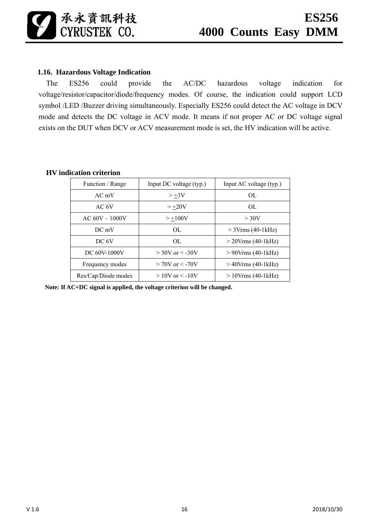### **1.16. Hazardous Voltage Indication**

The ES256 could provide the AC/DC hazardous voltage indication for voltage/resistor/capacitor/diode/frequency modes. Of course, the indication could support LCD symbol /LED /Buzzer driving simultaneously. Especially ES256 could detect the AC voltage in DCV mode and detects the DC voltage in ACV mode. It means if not proper AC or DC voltage signal exists on the DUT when DCV or ACV measurement mode is set, the HV indication will be active.

| Function / Range    | Input DC voltage (typ.) | Input AC voltage (typ.) |
|---------------------|-------------------------|-------------------------|
| $AC$ mV             | $> +3V$                 | OL                      |
| AC 6V               | $> +20V$                | OL                      |
| $AC 60V - 1000V$    | $> +100V$               | $>$ 30V                 |
| DC mV               | OL.                     | $>$ 3Vrms (40-1kHz)     |
| DC 6V               | OL.                     | $>$ 20Vrms (40-1 kHz)   |
| DC 60V-1000V        | $>$ 30V or $<$ -30V     | $> 90$ Vrms (40-1 kHz)  |
| Frequency modes     | $> 70V$ or $< -70V$     | $>40$ Vrms (40-1 kHz)   |
| Res/Cap/Diode modes | $>10V$ or $\leq -10V$   | $>10V$ rms (40-1 kHz)   |

### **HV indication criterion**

**Note: If AC+DC signal is applied, the voltage criterion will be changed.**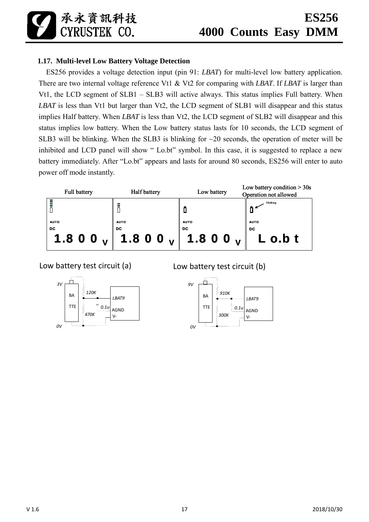承永資訊科技 CYRUSTEK CO.

### **1.17. Multi-level Low Battery Voltage Detection**

ES256 provides a voltage detection input (pin 91: *LBAT*) for multi-level low battery application. There are two internal voltage reference Vt1 & Vt2 for comparing with *LBAT*. If *LBAT* is larger than Vt1, the LCD segment of SLB1 – SLB3 will active always. This status implies Full battery. When *LBAT* is less than Vt1 but larger than Vt2, the LCD segment of SLB1 will disappear and this status implies Half battery. When *LBAT* is less than Vt2, the LCD segment of SLB2 will disappear and this status implies low battery. When the Low battery status lasts for 10 seconds, the LCD segment of SLB3 will be blinking. When the SLB3 is blinking for ~20 seconds, the operation of meter will be inhibited and LCD panel will show " Lo.bt" symbol. In this case, it is suggested to replace a new battery immediately. After "Lo.bt" appears and lasts for around 80 seconds, ES256 will enter to auto power off mode instantly.



Low battery test circuit (a)



Low battery test circuit (b)

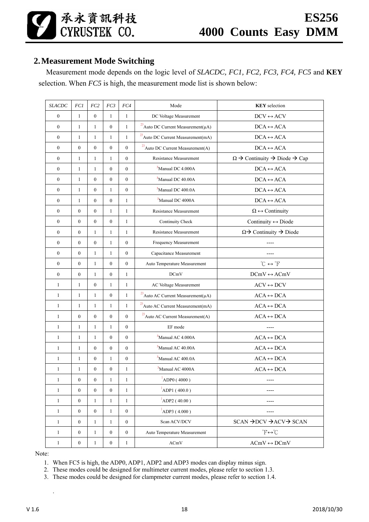承永資訊科技<br>CYRUSTEK CO.

### **2.Measurement Mode Switching**

Measurement mode depends on the logic level of *SLACDC, FC1, FC2, FC3, FC4, FC5* and **KEY** selection. When *FC5* is high, the measurement mode list is shown below:

| <b>SLACDC</b>    | FC1              | FC <sub>2</sub>  | FC3              | FC4              | Mode                                          | <b>KEY</b> selection                                    |
|------------------|------------------|------------------|------------------|------------------|-----------------------------------------------|---------------------------------------------------------|
| $\boldsymbol{0}$ | $\mathbf{1}$     | $\boldsymbol{0}$ | $\mathbf{1}$     | $\mathbf{1}$     | DC Voltage Measurement                        | $DCV \leftrightarrow ACV$                               |
| $\boldsymbol{0}$ | $\mathbf{1}$     | $\mathbf{1}$     | $\mathbf{0}$     | $\mathbf{1}$     | $^{23}$ Auto DC Current Measurement( $\mu$ A) | $DCA \leftrightarrow ACA$                               |
| $\boldsymbol{0}$ | $\mathbf{1}$     | $\mathbf{1}$     | 1                | $\mathbf{1}$     | $^{23}$ Auto DC Current Measurement(mA)       | $DCA \leftrightarrow ACA$                               |
| $\mathbf{0}$     | $\mathbf{0}$     | $\mathbf{0}$     | $\mathbf{0}$     | $\overline{0}$   | <sup>23</sup> Auto DC Current Measurement(A)  | $DCA \leftrightarrow ACA$                               |
| $\overline{0}$   | $\mathbf{1}$     | $\mathbf{1}$     | $\mathbf{1}$     | $\overline{0}$   | <b>Resistance Measurement</b>                 | $\Omega \to$ Continuity $\to$ Diode $\to$ Cap           |
| $\boldsymbol{0}$ | $\mathbf{1}$     | $\mathbf{1}$     | $\boldsymbol{0}$ | $\overline{0}$   | <sup>3</sup> Manual DC 4.000A                 | $DCA \leftrightarrow ACA$                               |
| $\mathbf{0}$     | $\mathbf{1}$     | $\mathbf{0}$     | $\mathbf{0}$     | $\overline{0}$   | <sup>3</sup> Manual DC 40.00A                 | $DCA \leftrightarrow ACA$                               |
| $\boldsymbol{0}$ | $\mathbf{1}$     | $\boldsymbol{0}$ | $\mathbf{1}$     | $\boldsymbol{0}$ | <sup>3</sup> Manual DC 400.0A                 | $DCA \leftrightarrow ACA$                               |
| $\boldsymbol{0}$ | $\mathbf{1}$     | $\mathbf{0}$     | $\mathbf{0}$     | $\mathbf{1}$     | <sup>3</sup> Manual DC 4000A                  | $DCA \leftrightarrow ACA$                               |
| $\mathbf{0}$     | $\mathbf{0}$     | $\mathbf{0}$     | $\mathbf{1}$     | $\mathbf{1}$     | Resistance Measurement                        | $\Omega \leftrightarrow$ Continuity                     |
| $\mathbf{0}$     | $\mathbf{0}$     | $\mathbf{0}$     | $\mathbf{0}$     | $\mathbf{1}$     | Continuity Check                              | Continuity $\leftrightarrow$ Diode                      |
| $\boldsymbol{0}$ | $\mathbf{0}$     | $\mathbf{1}$     | $\mathbf{1}$     | $\mathbf{1}$     | <b>Resistance Measurement</b>                 | $\Omega \rightarrow$ Continuity $\rightarrow$ Diode     |
| $\mathbf{0}$     | $\boldsymbol{0}$ | $\mathbf{0}$     | $\mathbf{1}$     | $\overline{0}$   | Frequency Measurement                         |                                                         |
| $\boldsymbol{0}$ | $\mathbf{0}$     | $\mathbf{1}$     | $\mathbf{1}$     | $\boldsymbol{0}$ | Capacitance Measurement                       |                                                         |
| $\boldsymbol{0}$ | $\boldsymbol{0}$ | $\mathbf{1}$     | $\boldsymbol{0}$ | $\boldsymbol{0}$ | Auto Temperature Measurement                  | $^{\circ}C \leftrightarrow ^{\circ}F$                   |
| $\mathbf{0}$     | $\boldsymbol{0}$ | $\mathbf{1}$     | $\mathbf{0}$     | $\mathbf{1}$     | <b>DCmV</b>                                   | $DCmV \leftrightarrow ACmV$                             |
| $\mathbf{1}$     | $\mathbf{1}$     | $\mathbf{0}$     | $\mathbf{1}$     | $\mathbf{1}$     | AC Voltage Measurement                        | $\text{ACV} \leftrightarrow \text{DCV}$                 |
| $\mathbf{1}$     | $\mathbf{1}$     | $\mathbf{1}$     | $\boldsymbol{0}$ | $\mathbf{1}$     | $^{23}$ Auto AC Current Measurement( $\mu$ A) | $ACA \leftrightarrow DCA$                               |
| $\mathbf{1}$     | $\mathbf{1}$     | $\mathbf{1}$     | $\mathbf{1}$     | $\mathbf{1}$     | $^{23}$ Auto AC Current Measurement(mA)       | $ACA \leftrightarrow DCA$                               |
| $\mathbf{1}$     | $\boldsymbol{0}$ | $\boldsymbol{0}$ | $\boldsymbol{0}$ | $\boldsymbol{0}$ | $^{23}$ Auto AC Current Measurement(A)        | $ACA \leftrightarrow DCA$                               |
| $\mathbf{1}$     | $\mathbf{1}$     | $\mathbf{1}$     | 1                | $\overline{0}$   | EF mode                                       |                                                         |
| $\mathbf{1}$     | $\mathbf{1}$     | $\mathbf{1}$     | $\mathbf{0}$     | $\overline{0}$   | <sup>3</sup> Manual AC 4.000A                 | $ACA \leftrightarrow DCA$                               |
| $\mathbf{1}$     | $\mathbf{1}$     | $\mathbf{0}$     | $\mathbf{0}$     | $\overline{0}$   | <sup>3</sup> Manual AC 40.00A                 | $ACA \leftrightarrow DCA$                               |
| $\mathbf{1}$     | $\mathbf{1}$     | $\boldsymbol{0}$ | $\mathbf{1}$     | $\boldsymbol{0}$ | <sup>3</sup> Manual AC 400.0A                 | $ACA \leftrightarrow DCA$                               |
| $\mathbf{1}$     | $\mathbf{1}$     | $\boldsymbol{0}$ | $\boldsymbol{0}$ | $\mathbf{1}$     | <sup>3</sup> Manual AC 4000A                  | $ACA \leftrightarrow DCA$                               |
| $\mathbf{1}$     | $\boldsymbol{0}$ | $\boldsymbol{0}$ | $\mathbf{1}$     | $\mathbf{1}$     | ADP0 (4000)                                   | $- - - -$                                               |
| $\mathbf{1}$     | $\boldsymbol{0}$ | $\boldsymbol{0}$ | $\mathbf{0}$     | 1                | ADP1(400.0)                                   |                                                         |
| $\mathbf{1}$     | $\boldsymbol{0}$ | $\mathbf{1}$     | 1                | $\mathbf{1}$     | $1$ ADP2 (40.00)                              | ----                                                    |
| $\mathbf{1}$     | $\boldsymbol{0}$ | $\boldsymbol{0}$ | 1                | $\boldsymbol{0}$ | $^{1}$ ADP3 (4.000)                           |                                                         |
| $\mathbf{1}$     | $\boldsymbol{0}$ | $\mathbf{1}$     | $\mathbf{1}$     | $\boldsymbol{0}$ | Scan ACV/DCV                                  | $SCAN \rightarrow DCV \rightarrow ACV \rightarrow SCAN$ |
| $\mathbf{1}$     | $\boldsymbol{0}$ | $\mathbf{1}$     | $\boldsymbol{0}$ | $\boldsymbol{0}$ | Auto Temperature Measurement                  | $\mathbb{P} \leftrightarrow \mathbb{C}$                 |
| $\mathbf{1}$     | $\boldsymbol{0}$ | $\mathbf{1}$     | $\boldsymbol{0}$ | $\mathbf{1}$     | $\rm{ACmV}$                                   | $ACmV \leftrightarrow DCMV$                             |

Note:

.

1. When FC5 is high, the ADP0, ADP1, ADP2 and ADP3 modes can display minus sign.

2. These modes could be designed for multimeter current modes, please refer to section 1.3.

3. These modes could be designed for clampmeter current modes, please refer to section 1.4.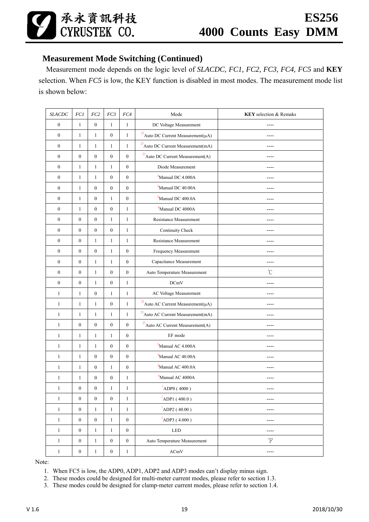

### **Measurement Mode Switching (Continued)**

Measurement mode depends on the logic level of *SLACDC, FC1, FC2, FC3, FC4, FC5* and **KEY** selection. When *FC5* is low, the KEY function is disabled in most modes. The measurement mode list is shown below:

| <b>SLACDC</b>    | FCI              | FC2              | FC3              | FC4              | Mode<br><b>KEY</b> selection & Remaks                     |                          |
|------------------|------------------|------------------|------------------|------------------|-----------------------------------------------------------|--------------------------|
| $\boldsymbol{0}$ | $\mathbf{1}$     | $\boldsymbol{0}$ | $\mathbf{1}$     | $\mathbf{1}$     | DC Voltage Measurement                                    |                          |
| $\boldsymbol{0}$ | $\mathbf{1}$     | $\mathbf{1}$     | $\boldsymbol{0}$ | $\mathbf{1}$     | $^{23}$ Auto DC Current Measurement<br>( $\mu\mathrm{A})$ | ----                     |
| $\boldsymbol{0}$ | $\mathbf{1}$     | $\mathbf{1}$     | $\mathbf{1}$     | $\mathbf{1}$     | $^{23}$ Auto DC Current Measurement<br>(mA)               | ----                     |
| $\boldsymbol{0}$ | $\boldsymbol{0}$ | $\boldsymbol{0}$ | $\boldsymbol{0}$ | $\boldsymbol{0}$ | $^{23}$ Auto DC Current Measurement(A)                    |                          |
| $\boldsymbol{0}$ | $\mathbf{1}$     | $\mathbf{1}$     | $\mathbf{1}$     | $\boldsymbol{0}$ | Diode Measurement                                         |                          |
| $\boldsymbol{0}$ | $\mathbf{1}$     | $\mathbf{1}$     | $\boldsymbol{0}$ | $\boldsymbol{0}$ | <sup>3</sup> Manual DC 4.000A                             |                          |
| $\boldsymbol{0}$ | $\mathbf{1}$     | $\boldsymbol{0}$ | $\boldsymbol{0}$ | $\boldsymbol{0}$ | <sup>3</sup> Manual DC 40.00A                             |                          |
| $\boldsymbol{0}$ | $\mathbf{1}$     | $\boldsymbol{0}$ | $\mathbf{1}$     | $\boldsymbol{0}$ | <sup>3</sup> Manual DC 400.0A                             | $---$                    |
| $\boldsymbol{0}$ | $\mathbf{1}$     | $\boldsymbol{0}$ | $\boldsymbol{0}$ | $\mathbf{1}$     | <sup>3</sup> Manual DC 4000A                              | ----                     |
| $\boldsymbol{0}$ | $\mathbf{0}$     | $\boldsymbol{0}$ | $\mathbf{1}$     | $\mathbf{1}$     | Resistance Measurement                                    |                          |
| $\boldsymbol{0}$ | $\boldsymbol{0}$ | $\boldsymbol{0}$ | $\boldsymbol{0}$ | $\mathbf{1}$     | Continuity Check                                          |                          |
| $\boldsymbol{0}$ | $\boldsymbol{0}$ | $\mathbf{1}$     | $\mathbf{1}$     | $\mathbf{1}$     | Resistance Measurement                                    |                          |
| $\boldsymbol{0}$ | $\boldsymbol{0}$ | $\boldsymbol{0}$ | $\mathbf{1}$     | $\boldsymbol{0}$ | Frequency Measurement                                     | ----                     |
| $\boldsymbol{0}$ | $\boldsymbol{0}$ | $\mathbf{1}$     | $\mathbf{1}$     | $\boldsymbol{0}$ | Capacitance Measurement                                   | ----                     |
| $\boldsymbol{0}$ | $\boldsymbol{0}$ | $\mathbf{1}$     | $\boldsymbol{0}$ | $\boldsymbol{0}$ | Auto Temperature Measurement                              | $\mathrm{C}^{\circ}$     |
| $\boldsymbol{0}$ | $\boldsymbol{0}$ | $\mathbf{1}$     | $\boldsymbol{0}$ | $\mathbf{1}$     | <b>DCmV</b>                                               |                          |
| $\mathbf{1}$     | $\mathbf{1}$     | $\boldsymbol{0}$ | $\mathbf{1}$     | $\mathbf{1}$     | AC Voltage Measurement                                    |                          |
| $\mathbf{1}$     | $\mathbf{1}$     | $\mathbf{1}$     | $\boldsymbol{0}$ | $\mathbf{1}$     | $^{23}$ Auto AC Current Measurement<br>( $\mu\rm{A})$     |                          |
| $\mathbf{1}$     | $\mathbf{1}$     | $\mathbf{1}$     | $\mathbf{1}$     | $\mathbf{1}$     | $^{23}$ Auto AC Current Measurement<br>(mA)               |                          |
| $\mathbf{1}$     | $\boldsymbol{0}$ | $\boldsymbol{0}$ | $\boldsymbol{0}$ | $\boldsymbol{0}$ | $^{23}$ Auto AC Current Measurement(A)                    | $- - - -$                |
| $\mathbf{1}$     | $\mathbf{1}$     | $\mathbf{1}$     | $\mathbf{1}$     | $\boldsymbol{0}$ | EF mode                                                   | ----                     |
| $\mathbf{1}$     | $\mathbf{1}$     | $\mathbf{1}$     | $\boldsymbol{0}$ | $\boldsymbol{0}$ | <sup>3</sup> Manual AC 4.000A                             |                          |
| $\mathbf{1}$     | $\mathbf{1}$     | $\boldsymbol{0}$ | $\boldsymbol{0}$ | $\boldsymbol{0}$ | <sup>3</sup> Manual AC 40.00A                             |                          |
| $\mathbf{1}$     | $\mathbf{1}$     | $\boldsymbol{0}$ | $\mathbf{1}$     | $\boldsymbol{0}$ | <sup>3</sup> Manual AC 400.0A                             |                          |
| $\mathbf{1}$     | $\mathbf{1}$     | $\boldsymbol{0}$ | $\boldsymbol{0}$ | 1                | <sup>3</sup> Manual AC 4000A                              | ---                      |
| 1                | $\boldsymbol{0}$ | $\boldsymbol{0}$ | 1                | 1                | $\blacksquare$<br>ADP0 (4000)                             | $---$                    |
| $\mathbf{1}$     | $\boldsymbol{0}$ | $\boldsymbol{0}$ | $\boldsymbol{0}$ | $\mathbf{1}$     | $^{1}$ ADP1 (400.0)                                       | ----                     |
| $\mathbf{1}$     | $\boldsymbol{0}$ | $\mathbf{1}$     | $\mathbf{1}$     | $\mathbf{1}$     | $1$ ADP2 (40.00)                                          | ----                     |
| $\mathbf{1}$     | $\boldsymbol{0}$ | $\boldsymbol{0}$ | $\mathbf{1}$     | $\boldsymbol{0}$ | $^{1}$ ADP3 (4.000)                                       | ----                     |
| $\mathbf{1}$     | $\boldsymbol{0}$ | $\mathbf{1}$     | $\mathbf{1}$     | $\boldsymbol{0}$ | <b>LED</b>                                                | ----                     |
| $\mathbf{1}$     | $\boldsymbol{0}$ | $\mathbf{1}$     | $\boldsymbol{0}$ | $\boldsymbol{0}$ | Auto Temperature Measurement                              | $\,{}^{\circ}\mathrm{F}$ |
| $\mathbf{1}$     | $\boldsymbol{0}$ | $\mathbf{1}$     | $\boldsymbol{0}$ | $\mathbf{1}$     | ACmV                                                      | $---$                    |

Note:

1. When FC5 is low, the ADP0, ADP1, ADP2 and ADP3 modes can't display minus sign.

2. These modes could be designed for multi-meter current modes, please refer to section 1.3.

3. These modes could be designed for clamp-meter current modes, please refer to section 1.4.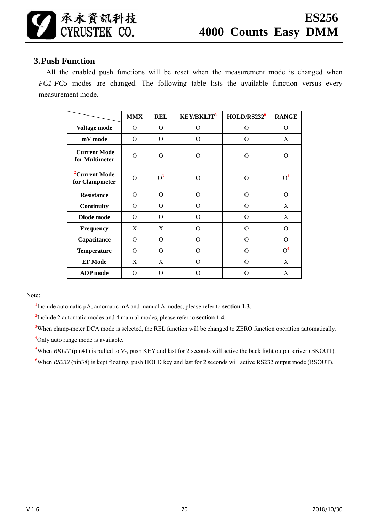### **3.Push Function**

All the enabled push functions will be reset when the measurement mode is changed when *FC1-FC5* modes are changed. The following table lists the available function versus every measurement mode.

|                                             | <b>MMX</b> | <b>REL</b>    | <b>KEY/BKLIT<sup>5</sup></b> | HOLD/RS232 <sup>6</sup> | <b>RANGE</b>   |
|---------------------------------------------|------------|---------------|------------------------------|-------------------------|----------------|
| Voltage mode                                | 0          | O<br>$\Omega$ |                              | O                       | $\mathcal{O}$  |
| mV mode                                     | $\Omega$   | $\Omega$      | $\Omega$                     | $\Omega$                | X              |
| <sup>1</sup> Current Mode<br>for Multimeter | $\Omega$   | $\Omega$<br>O |                              | $\Omega$                | $\Omega$       |
| <sup>2</sup> Current Mode<br>for Clampmeter | $\Omega$   | $O^3$<br>O    |                              | O                       | O <sup>4</sup> |
| <b>Resistance</b>                           | $\Omega$   | $\Omega$      | $\Omega$                     | $\Omega$                | $\Omega$       |
| Continuity                                  | $\Omega$   | $\Omega$      | $\Omega$                     | $\overline{O}$          | X              |
| Diode mode                                  | $\Omega$   | $\Omega$      | $\Omega$                     | $\Omega$                | X              |
| Frequency                                   | X          | X             | $\Omega$                     | $\overline{O}$          | $\Omega$       |
| Capacitance                                 | $\Omega$   | $\Omega$      | $\Omega$                     | $\Omega$                | $\Omega$       |
| <b>Temperature</b>                          | $\Omega$   | $\Omega$      | $\Omega$                     | $\overline{O}$          | O <sup>4</sup> |
| <b>EF</b> Mode                              | X          | X             | $\Omega$                     | $\Omega$                | X              |
| <b>ADP</b> mode                             | O          | $\Omega$      | ∩                            | O                       | X              |

Note:

<sup>1</sup>Include automatic  $\mu$ A, automatic mA and manual A modes, please refer to **section 1.3**.

2 Include 2 automatic modes and 4 manual modes, please refer to **section 1.4**.

<sup>3</sup>When clamp-meter DCA mode is selected, the REL function will be changed to ZERO function operation automatically. <sup>4</sup>Only auto range mode is available.

<sup>5</sup>When *BKLIT* (pin41) is pulled to V-, push KEY and last for 2 seconds will active the back light output driver (BKOUT).

<sup>6</sup>When *RS232* (pin38) is kept floating, push HOLD key and last for 2 seconds will active RS232 output mode (RSOUT).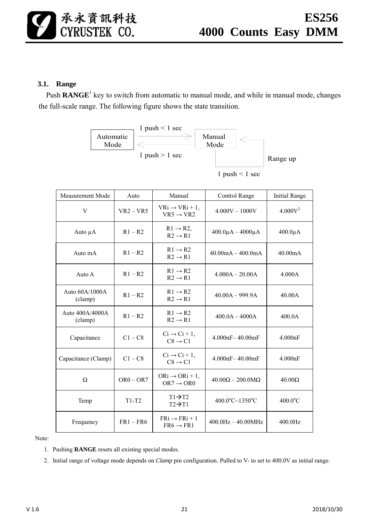### **3.1. Range**

Push **RANGE**<sup>1</sup> key to switch from automatic to manual mode, and while in manual mode, changes the full-scale range. The following figure shows the state transition.



| <b>Measurement Mode</b>     | Auto        | Manual                                               | Control Range                              | <b>Initial Range</b> |
|-----------------------------|-------------|------------------------------------------------------|--------------------------------------------|----------------------|
| V                           | $VR2 - VR5$ | $VRi \rightarrow VRi + 1$ ,<br>$VR5 \rightarrow VR2$ | $4.000V - 1000V$                           | 4.000V <sup>2</sup>  |
| Auto $\mu A$                | $R1 - R2$   | $R1 \rightarrow R2$ ,<br>$R2 \rightarrow R1$         | $400.0\mu A - 4000\mu A$                   | $400.0\mu A$         |
| Auto mA                     | $R1 - R2$   | $R1 \rightarrow R2$<br>$R2 \rightarrow R1$           | $40.00 \text{mA} - 400.0 \text{mA}$        | 40.00 <sub>m</sub> A |
| Auto A                      | $R1 - R2$   | $R1 \rightarrow R2$<br>$R2 \rightarrow R1$           | $4.000A - 20.00A$                          | 4.000A               |
| Auto $60A/1000A$<br>(clamp) | $R1 - R2$   | $R1 \rightarrow R2$<br>$R2 \rightarrow R1$           | $40.00A - 999.9A$                          | 40.00A               |
| Auto 400A/4000A<br>(clamp)  | $R1 - R2$   | $R1 \rightarrow R2$<br>$R2 \rightarrow R1$           | $400.0A - 4000A$                           | 400.0A               |
| Capacitance                 | $C1 - C8$   | $Ci \rightarrow Ci + 1$ ,<br>$C8 \rightarrow C1$     | $4.000nF - 40.00mF$                        | 4.000nF              |
| Capacitance (Clamp)         | $C1 - C8$   | $Ci \rightarrow Ci + 1$ ,<br>$C8 \rightarrow C1$     | $4.000nF - 40.00mF$                        | 4.000nF              |
| Ω                           | $OR0 - OR7$ | $ORi \rightarrow ORi + 1$ ,<br>$OR7 \rightarrow OR0$ | $40.00\Omega - 200.0\text{M}\Omega$        | $40.00\Omega$        |
| Temp                        | $T1-T2$     | $T1 \rightarrow T2$<br>$T2 \rightarrow T1$           | $400.0^{\circ}$ C $\sim$ 1350 $^{\circ}$ C | $400.0$ °C           |
| Frequency                   | $FR1 - FR6$ | $FRi \rightarrow FRi + 1$<br>$FR6 \rightarrow FR1$   | $400.0$ Hz $- 40.00$ MHz                   | 400.0Hz              |

Note:

- 1. Pushing **RANGE** resets all existing special modes.
- 2. Initial range of voltage mode depends on *Clamp* pin configuration. Pulled to V- to set to 400.0V as initial range.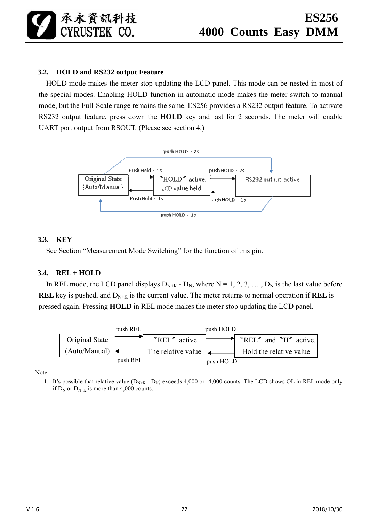### **3.2. HOLD and RS232 output Feature**

HOLD mode makes the meter stop updating the LCD panel. This mode can be nested in most of the special modes. Enabling HOLD function in automatic mode makes the meter switch to manual mode, but the Full-Scale range remains the same. ES256 provides a RS232 output feature. To activate RS232 output feature, press down the **HOLD** key and last for 2 seconds. The meter will enable UART port output from RSOUT. (Please see section 4.)



#### **3.3. KEY**

See Section "Measurement Mode Switching" for the function of this pin.

### **3.4. REL + HOLD**

In REL mode, the LCD panel displays  $D_{N+K}$  -  $D_N$ , where  $N = 1, 2, 3, \dots, D_N$  is the last value before **REL** key is pushed, and  $D_{N+K}$  is the current value. The meter returns to normal operation if **REL** is pressed again. Pressing **HOLD** in REL mode makes the meter stop updating the LCD panel.



Note:

1. It's possible that relative value  $(D_{N+K} - D_N)$  exceeds 4,000 or -4,000 counts. The LCD shows OL in REL mode only if  $D_N$  or  $D_{N+K}$  is more than 4,000 counts.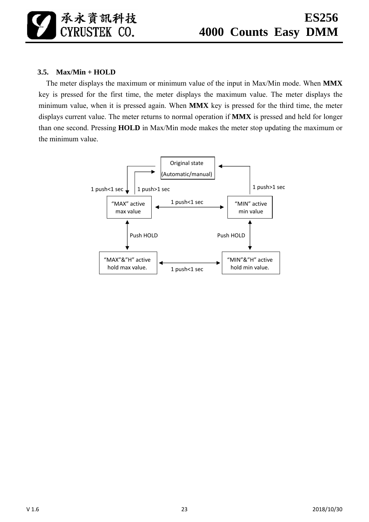承永資訊科技 CYRUSTEK CO.

### **3.5. Max/Min + HOLD**

The meter displays the maximum or minimum value of the input in Max/Min mode. When **MMX** key is pressed for the first time, the meter displays the maximum value. The meter displays the minimum value, when it is pressed again. When **MMX** key is pressed for the third time, the meter displays current value. The meter returns to normal operation if **MMX** is pressed and held for longer than one second. Pressing **HOLD** in Max/Min mode makes the meter stop updating the maximum or the minimum value.

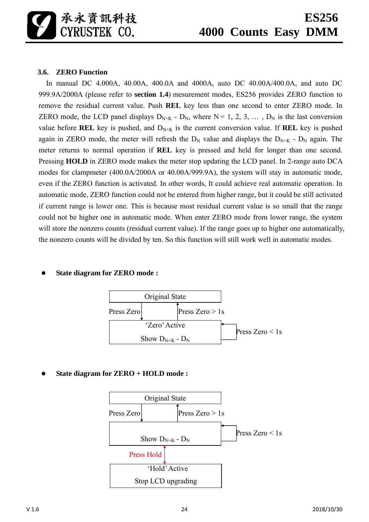### **3.6. ZERO Function**

In manual DC 4.000A, 40.00A, 400.0A and 4000A, auto DC 40.00A/400.0A, and auto DC 999.9A/2000A (please refer to **section 1.4**) mesurement modes, ES256 provides ZERO function to remove the residual current value. Push **REL** key less than one second to enter ZERO mode. In ZERO mode, the LCD panel displays  $D_{N+K}$  -  $D_N$ , where  $N = 1, 2, 3, \ldots, D_N$  is the last conversion value before **REL** key is pushed, and  $D_{N+K}$  is the current conversion value. If **REL** key is pushed again in ZERO mode, the meter will refresh the  $D_N$  value and displays the  $D_{N+K}$  -  $D_N$  again. The meter returns to normal operation if **REL** key is pressed and held for longer than one second. Pressing **HOLD** in ZERO mode makes the meter stop updating the LCD panel. In 2-range auto DCA modes for clampmeter (400.0A/2000A or 40.00A/999.9A), the system will stay in automatic mode, even if the ZERO function is activated. In other words, It could achieve real automatic operation. In automatic mode, ZERO function could not be entered from higher range, but it could be still activated if current range is lower one. This is because most residual current value is so small that the range could not be higher one in automatic mode. When enter ZERO mode from lower range, the system will store the nonzero counts (residual current value). If the range goes up to higher one automatically, the nonzero counts will be divided by ten. So this function will still work well in automatic modes.

### **State diagram for ZERO mode :**



**State diagram for ZERO + HOLD mode :** 

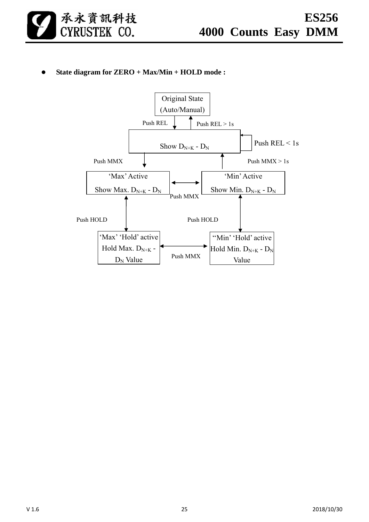

**State diagram for ZERO + Max/Min + HOLD mode :** 

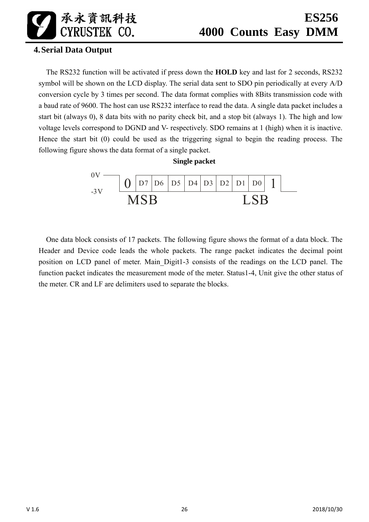承永資訊科技 CYRUSTEK CO.

### **4.Serial Data Output**

The RS232 function will be activated if press down the **HOLD** key and last for 2 seconds, RS232 symbol will be shown on the LCD display. The serial data sent to SDO pin periodically at every A/D conversion cycle by 3 times per second. The data format complies with 8Bits transmission code with a baud rate of 9600. The host can use RS232 interface to read the data. A single data packet includes a start bit (always 0), 8 data bits with no parity check bit, and a stop bit (always 1). The high and low voltage levels correspond to DGND and V- respectively. SDO remains at 1 (high) when it is inactive. Hence the start bit (0) could be used as the triggering signal to begin the reading process. The following figure shows the data format of a single packet.



One data block consists of 17 packets. The following figure shows the format of a data block. The Header and Device code leads the whole packets. The range packet indicates the decimal point position on LCD panel of meter. Main\_Digit1-3 consists of the readings on the LCD panel. The function packet indicates the measurement mode of the meter. Status1-4, Unit give the other status of the meter. CR and LF are delimiters used to separate the blocks.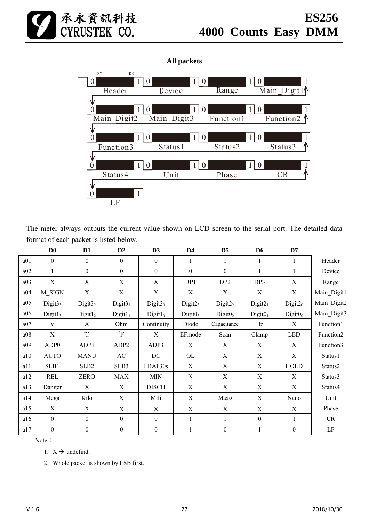

### **All packets**



The meter always outputs the current value shown on LCD screen to the serial port. The detailed data format of each packet is listed below.

|     | D <sub>0</sub>      | D <sub>1</sub>            | D2               | D3               | D <sub>4</sub>      | D <sub>5</sub>      | D <sub>6</sub>            | D7                        |                       |
|-----|---------------------|---------------------------|------------------|------------------|---------------------|---------------------|---------------------------|---------------------------|-----------------------|
| a01 | $\theta$            | $\theta$                  | $\theta$         | $\theta$         | 1                   | 1                   | 1                         | 1                         | Header                |
| a02 | $\mathbf{1}$        | $\mathbf{0}$              | $\mathbf{0}$     | $\boldsymbol{0}$ | $\boldsymbol{0}$    | $\mathbf{0}$        | 1                         | 1                         | Device                |
| a03 | $\mathbf X$         | $\boldsymbol{\mathrm{X}}$ | X                | X                | DP1                 | DP <sub>2</sub>     | DP3                       | $\boldsymbol{\mathrm{X}}$ | Range                 |
| a04 | M SIGN              | X                         | X                | X                | X                   | X                   | X                         | X                         | Main_Digit1           |
| a05 | Digit $33$          | Digit $32$                | Digit $31$       | Digit $30$       | Digit2 <sub>3</sub> | Digit2 <sub>2</sub> | Digit2 <sub>1</sub>       | Digit2 <sub>0</sub>       | Main_Digit2           |
| a06 | Digit1 <sub>3</sub> | Digit1 <sub>2</sub>       | $Digit1_1$       | $Digit1_0$       | Digit0 <sub>3</sub> | Digit0 <sub>2</sub> | Digit0 <sub>1</sub>       | Digit0 <sub>0</sub>       | Main_Digit3           |
| a07 | V                   | A                         | Ohm              | Continuity       | Diode               | Capacitance         | Hz                        | X                         | Function1             |
| a08 | $\mathbf X$         | $^{\circ}C$               | $\overline{F}$   | X                | EFmode              | Scan                | Clamp                     | <b>LED</b>                | Function <sub>2</sub> |
| a09 | ADP <sub>0</sub>    | ADP1                      | ADP <sub>2</sub> | ADP3             | X                   | X                   | X                         | X                         | Function3             |
| a10 | <b>AUTO</b>         | <b>MANU</b>               | AC               | DC               | OL                  | X                   | $\boldsymbol{\mathrm{X}}$ | $\boldsymbol{\mathrm{X}}$ | Status1               |
| a11 | SLB1                | SLB <sub>2</sub>          | SLB3             | LBAT30s          | X                   | X                   | X                         | <b>HOLD</b>               | Status2               |
| a12 | <b>REL</b>          | <b>ZERO</b>               | <b>MAX</b>       | <b>MIN</b>       | X                   | X                   | X                         | X                         | Status3               |
| a13 | Danger              | X                         | X                | <b>DISCH</b>     | X                   | X                   | X                         | X                         | Status4               |
| a14 | Mega                | Kilo                      | X                | Mili             | X                   | Micro               | $\mathbf X$               | Nano                      | Unit                  |
| a15 | $\mathbf X$         | X                         | X                | X                | X                   | X                   | X                         | X                         | Phase                 |
| a16 | $\boldsymbol{0}$    | $\mathbf{0}$              | $\boldsymbol{0}$ | $\boldsymbol{0}$ |                     | $\mathbf{1}$        | $\mathbf{0}$              | 1                         | CR                    |
| a17 | $\boldsymbol{0}$    | $\theta$                  | $\boldsymbol{0}$ | $\theta$         | 1                   | $\theta$            | 1                         | $\boldsymbol{0}$          | $\rm LF$              |

Note:

1.  $X \rightarrow$  undefind.

2. Whole packet is shown by LSB first.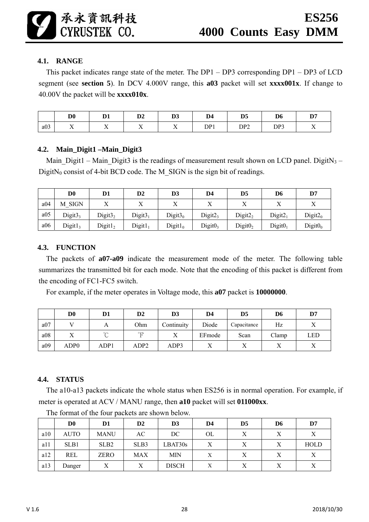### **4.1. RANGE**

This packet indicates range state of the meter. The DP1 – DP3 corresponding DP1 – DP3 of LCD segment (see **section 5**). In DCV 4.000V range, this **a03** packet will set **xxxx001x**. If change to 40.00V the packet will be **xxxx010x**.

|     | D٥<br>IJΨ             | D.             | D <sub>2</sub>                 | D <sub>3</sub>                 | D4  | D5<br>IJJ                     | D0  | פת<br>v                |
|-----|-----------------------|----------------|--------------------------------|--------------------------------|-----|-------------------------------|-----|------------------------|
| a03 | - -<br>$\overline{ }$ | $\overline{ }$ | --<br>$\overline{\phantom{a}}$ | --<br>$\overline{\phantom{a}}$ | DP1 | D <sub>D</sub><br><u> レエム</u> | DP3 | $ -$<br>$\overline{1}$ |

### **4.2. Main\_Digit1 –Main\_Digit3**

Main Digit1 – Main Digit3 is the readings of measurement result shown on LCD panel. DigitN<sub>3</sub> – DigitN<sub>0</sub> consist of 4-bit BCD code. The M\_SIGN is the sign bit of readings.

|     | D <sub>0</sub>      | D1                  | $\mathbf{D2}$       | D <sub>3</sub> | D4                  | D5                  | D6                  | D7         |
|-----|---------------------|---------------------|---------------------|----------------|---------------------|---------------------|---------------------|------------|
| a04 | M SIGN              | $\Lambda$           | л                   | ∡⊾             |                     |                     |                     | $\Lambda$  |
| a05 | Digit $33$          | Digit $32$          | Digit $31$          | Digit $30$     | Digit2 <sub>3</sub> | Digit2 <sub>2</sub> | Digit2 <sub>1</sub> | $Digit2_0$ |
| a06 | Digit1 <sub>3</sub> | Digit1 <sub>2</sub> | Digit1 <sub>1</sub> | $Digit1_0$     | Digit0 <sub>3</sub> | Digit0 <sub>2</sub> | Digit0 <sub>1</sub> | $Digit0_0$ |

#### **4.3. FUNCTION**

The packets of **a07-a09** indicate the measurement mode of the meter. The following table summarizes the transmitted bit for each mode. Note that the encoding of this packet is different from the encoding of FC1-FC5 switch.

For example, if the meter operates in Voltage mode, this **a07** packet is **10000000**.

|     | $\mathbf{D} \mathbf{0}$ | D1      | $\mathbf{D2}$ | D <sub>3</sub> | D4        | D <sub>5</sub> | D6    | D7  |
|-----|-------------------------|---------|---------------|----------------|-----------|----------------|-------|-----|
| a07 |                         |         | Ohm           | Continuity     | Diode     | Capacitance    | Hz    |     |
| a08 |                         | $\circ$ | $^{\circ}$ T  | $\mathbf{v}$   | EFmode    | Scan           | Clamp | LED |
| a09 | ADP0                    | ADP1    | ADP2          | ADP3           | $\Lambda$ |                |       | ∡   |

### **4.4. STATUS**

The a10-a13 packets indicate the whole status when ES256 is in normal operation. For example, if meter is operated at ACV / MANU range, then **a10** packet will set **011000xx**.

|     | D <sub>0</sub> | D1               | $\mathbf{D2}$ | D <sub>3</sub> | D4 | D <sub>5</sub> | D6 | D7          |
|-----|----------------|------------------|---------------|----------------|----|----------------|----|-------------|
| a10 | <b>AUTO</b>    | <b>MANU</b>      | AC            | DC             | OL |                |    | Χ           |
| a11 | SLB1           | SLB <sub>2</sub> | SLB3          | LBAT30s        |    |                |    | <b>HOLD</b> |
| a12 | <b>REL</b>     | <b>ZERO</b>      | <b>MAX</b>    | MIN            | Χ  |                |    | Χ           |
| a13 | Danger         | Х                | Х             | <b>DISCH</b>   |    | Х              |    | X           |

The format of the four packets are shown below.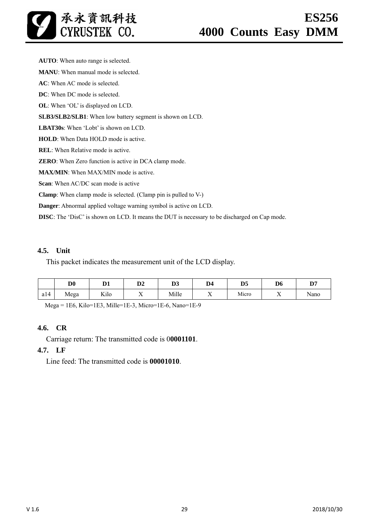**AUTO**: When auto range is selected. **MANU**: When manual mode is selected. **AC**: When AC mode is selected. **DC**: When DC mode is selected. **OL**: When 'OL' is displayed on LCD. **SLB3/SLB2/SLB1**: When low battery segment is shown on LCD. **LBAT30s**: When 'Lobt' is shown on LCD. **HOLD**: When Data HOLD mode is active. **REL**: When Relative mode is active. **ZERO**: When Zero function is active in DCA clamp mode. **MAX/MIN**: When MAX/MIN mode is active. **Scan**: When AC/DC scan mode is active **Clamp**: When clamp mode is selected. (Clamp pin is pulled to V-) **Danger**: Abnormal applied voltage warning symbol is active on LCD.

**DISC**: The 'DisC' is shown on LCD. It means the DUT is necessary to be discharged on Cap mode.

### **4.5. Unit**

This packet indicates the measurement unit of the LCD display.

|     | D <sub>0</sub> | D.1<br>v1                       | D0<br>IJΖ            | D <sub>3</sub> | $\mathbf{r}$<br>D4 | D <sub>5</sub> | D <sub>6</sub> | D7                   |
|-----|----------------|---------------------------------|----------------------|----------------|--------------------|----------------|----------------|----------------------|
| a14 | Mega           | $x \sim 1$<br>K <sub>1</sub> lo | --<br>$\overline{ }$ | Mille          | ∡⊾                 | Micro          | ∡⊾             | $\mathbf{r}$<br>Nano |

Mega = 1E6, Kilo=1E3, Mille=1E-3, Micro=1E-6, Nano=1E-9

#### **4.6. CR**

Carriage return: The transmitted code is 0**0001101**.

#### **4.7. LF**

Line feed: The transmitted code is **00001010**.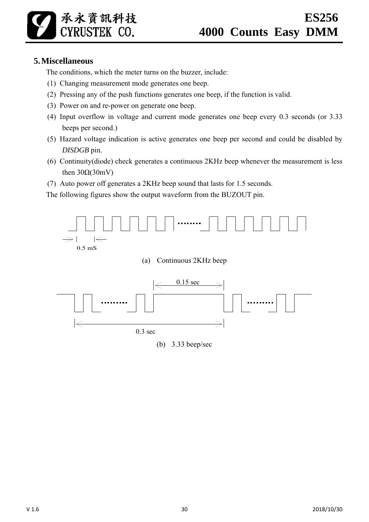承永資訊科技 **CYRUSTEK CO.** 

### **5.Miscellaneous**

The conditions, which the meter turns on the buzzer, include:

- (1) Changing measurement mode generates one beep.
- (2) Pressing any of the push functions generates one beep, if the function is valid.
- (3) Power on and re-power on generate one beep.
- (4) Input overflow in voltage and current mode generates one beep every 0.3 seconds (or 3.33 beeps per second.)
- (5) Hazard voltage indication is active generates one beep per second and could be disabled by *DISDGB* pin.
- (6) Continuity(diode) check generates a continuous 2KHz beep whenever the measurement is less then  $30Ω(30mV)$
- (7) Auto power off generates a 2KHz beep sound that lasts for 1.5 seconds.

The following figures show the output waveform from the BUZOUT pin.

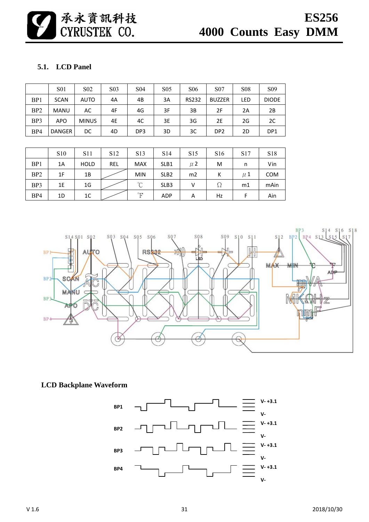

### **5.1. LCD Panel**

|                 | <b>S01</b>  | S <sub>0</sub> 2 | S <sub>0</sub> 3 | S <sub>04</sub> | S <sub>05</sub> | <b>S06</b>   | S <sub>07</sub> | <b>S08</b> | S <sub>09</sub> |
|-----------------|-------------|------------------|------------------|-----------------|-----------------|--------------|-----------------|------------|-----------------|
| BP <sub>1</sub> | <b>SCAN</b> | <b>AUTO</b>      | 4A               | 4B              | 3A              | <b>RS232</b> | <b>BUZZER</b>   | LED        | <b>DIODE</b>    |
| BP <sub>2</sub> | <b>MANU</b> | AC               | 4F               | 4G              | 3F              | 3B           | 2F              | 2A         | 2B              |
| BP3             | <b>APO</b>  | <b>MINUS</b>     | 4E               | 4C              | 3E              | 3G           | 2E              | 2G         | 2C              |
| BP4             | DANGER      | DC               | 4D               | DP3             | 3D              | 3C           | DP <sub>2</sub> | 2D         | DP <sub>1</sub> |

|                 | <b>S10</b> | S <sub>11</sub> | S <sub>12</sub> | S <sub>13</sub> | S <sub>14</sub>  | S <sub>15</sub> | S <sub>16</sub> | S <sub>17</sub> | S <sub>18</sub> |
|-----------------|------------|-----------------|-----------------|-----------------|------------------|-----------------|-----------------|-----------------|-----------------|
| BP1             | 1A         | <b>HOLD</b>     | REL             | <b>MAX</b>      | SLB1             | $\mu$ 2         | M               | n               | Vin             |
| BP <sub>2</sub> | 1F         | 1Β              |                 | <b>MIN</b>      | SLB <sub>2</sub> | m <sub>2</sub>  | К               | $\mu$ 1         | <b>COM</b>      |
| BP3             | 1E         | 1G              |                 | $^{\circ}C$     | SLB <sub>3</sub> |                 | Ω               | m1              | mAin            |
| BP4             | 1D         | 1C              |                 | $^{\circ}$ F    | <b>ADP</b>       | Α               | Hz              |                 | Ain             |



**LCD Backplane Waveform** 

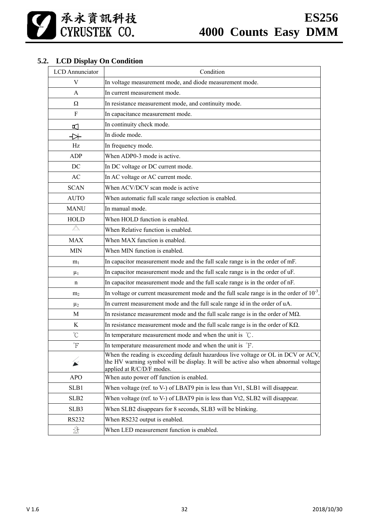### **5.2. LCD Display On Condition**

| <b>LCD</b> Annunciator         | Condition                                                                                                                                                                                            |
|--------------------------------|------------------------------------------------------------------------------------------------------------------------------------------------------------------------------------------------------|
| V                              | In voltage measurement mode, and diode measurement mode.                                                                                                                                             |
| A                              | In current measurement mode.                                                                                                                                                                         |
| Ω                              | In resistance measurement mode, and continuity mode.                                                                                                                                                 |
| F                              | In capacitance measurement mode.                                                                                                                                                                     |
| ๔                              | In continuity check mode.                                                                                                                                                                            |
| ₩                              | In diode mode.                                                                                                                                                                                       |
| Hz                             | In frequency mode.                                                                                                                                                                                   |
| <b>ADP</b>                     | When ADP0-3 mode is active.                                                                                                                                                                          |
| DC                             | In DC voltage or DC current mode.                                                                                                                                                                    |
| AC                             | In AC voltage or AC current mode.                                                                                                                                                                    |
| <b>SCAN</b>                    | When ACV/DCV scan mode is active                                                                                                                                                                     |
| <b>AUTO</b>                    | When automatic full scale range selection is enabled.                                                                                                                                                |
| <b>MANU</b>                    | In manual mode.                                                                                                                                                                                      |
| <b>HOLD</b>                    | When HOLD function is enabled.                                                                                                                                                                       |
| $\triangle$                    | When Relative function is enabled.                                                                                                                                                                   |
| <b>MAX</b>                     | When MAX function is enabled.                                                                                                                                                                        |
| <b>MIN</b>                     | When MIN function is enabled.                                                                                                                                                                        |
| m <sub>1</sub>                 | In capacitor measurement mode and the full scale range is in the order of mF.                                                                                                                        |
| $\mu_1$                        | In capacitor measurement mode and the full scale range is in the order of uF.                                                                                                                        |
| n                              | In capacitor measurement mode and the full scale range is in the order of nF.                                                                                                                        |
| m <sub>2</sub>                 | In voltage or current measurement mode and the full scale range is in the order of $10^{-3}$ .                                                                                                       |
| $\mu_2$                        | In current measurement mode and the full scale range id in the order of uA.                                                                                                                          |
| M                              | In resistance measurement mode and the full scale range is in the order of $M\Omega$ .                                                                                                               |
| K                              | In resistance measurement mode and the full scale range is in the order of $K\Omega$ .                                                                                                               |
| $\rm ^{\circ}C$                | In temperature measurement mode and when the unit is $\degree$ C.                                                                                                                                    |
| Ψ                              | In temperature measurement mode and when the unit is $\mathrm{F}$ .                                                                                                                                  |
| $\cancel{\blacktriangleright}$ | When the reading is exceeding default hazardous live voltage or OL in DCV or ACV.<br>the HV warning symbol will be display. It will be active also when abnormal voltage<br>applied at R/C/D/F modes |
| <b>APO</b>                     | When auto power off function is enabled.                                                                                                                                                             |
| SLB1                           | When voltage (ref. to V-) of LBAT9 pin is less than Vt1, SLB1 will disappear.                                                                                                                        |
| SLB <sub>2</sub>               | When voltage (ref. to V-) of LBAT9 pin is less than Vt2, SLB2 will disappear.                                                                                                                        |
| SLB3                           | When SLB2 disappears for 8 seconds, SLB3 will be blinking.                                                                                                                                           |
| RS232                          | When RS232 output is enabled.                                                                                                                                                                        |
| $\frac{N}{Test}$               | When LED measurement function is enabled.                                                                                                                                                            |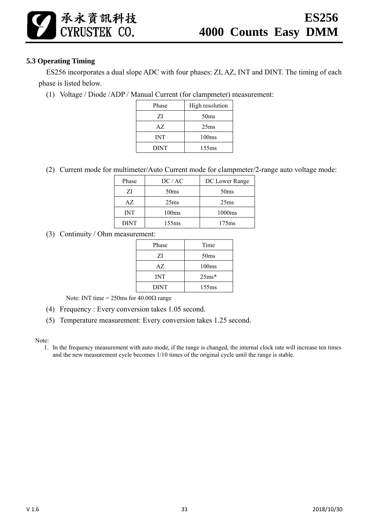### **5.3 Operating Timing**

承永資訊科技<br>CYRUSTEK CO.

ES256 incorporates a dual slope ADC with four phases: ZI, AZ, INT and DINT. The timing of each phase is listed below.

(1) Voltage / Diode /ADP / Manual Current (for clampmeter) measurement:

| Phase       | High resolution   |
|-------------|-------------------|
| ΖI          | 50 <sub>ms</sub>  |
| AZ.         | 25 <sub>ms</sub>  |
| INT         | 100 <sub>ms</sub> |
| <b>DINT</b> | 155ms             |

(2) Current mode for multimeter/Auto Current mode for clampmeter/2-range auto voltage mode:

| Phase       | DC/AC             | DC Lower Range    |
|-------------|-------------------|-------------------|
| ZI          | 50 <sub>ms</sub>  | 50 <sub>ms</sub>  |
| AZ.         | 25 <sub>ms</sub>  | 25 <sub>ms</sub>  |
| <b>INT</b>  | 100 <sub>ms</sub> | 1000ms            |
| <b>DINT</b> | 155ms             | 175 <sub>ms</sub> |

(3) Continuity / Ohm measurement:

| Phase       | Time             |
|-------------|------------------|
| ΖI          | 50 <sub>ms</sub> |
| AZ.         | 100ms            |
| INT         | $25ms*$          |
| <b>DINT</b> | 155ms            |

Note: INT time =  $250$ ms for  $40.00\Omega$  range

- (4) Frequency : Every conversion takes 1.05 second.
- (5) Temperature measurement: Every conversion takes 1.25 second.

Note:

1. In the frequency measurement with auto mode, if the range is changed, the internal clock rate will increase ten times and the new measurement cycle becomes 1/10 times of the original cycle until the range is stable.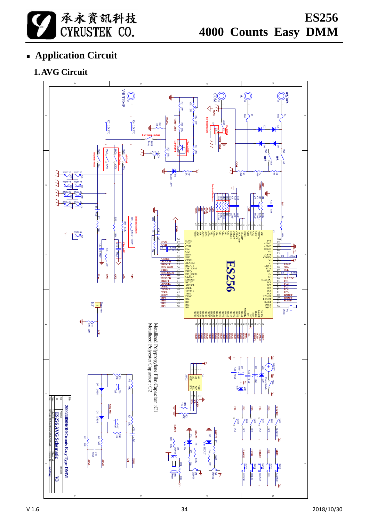

 **ES256 4000 Counts Easy DMM**

# **Application Circuit**

# **1.AVG Circuit**